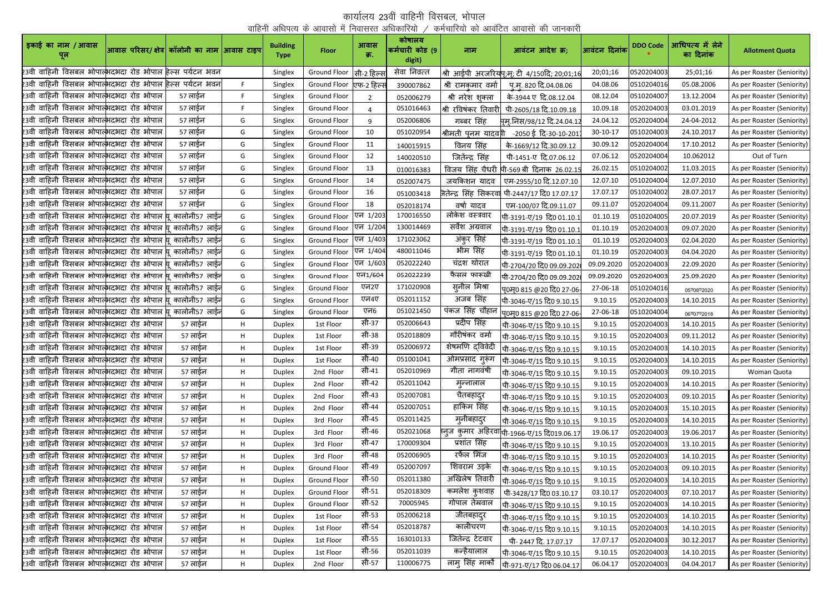## कार्यालय 23वीं वाहिनी विसबल, भोपाल वाहिनी अधिपत्य के आवासो में निवासरत अधिकारियो  $\neq$  कर्मचारियो को आवंटित आवासो की जानकारी

| इकाई का नाम / आवास<br>पूल                                                            | आवास परिसर/ क्षेत्र  कॉलोनी का नाम आिवास टाइप |                            |    | <b>Building</b><br><b>Type</b> | <b>Floor</b>             | आवास<br>क्र. | कोषालय<br>कर्मचारी कोड (9<br>digit) | नाम                                | आवंटन आदेश क्र;                                        | आवंटन दिनांक   | <b>DDO Code</b> | आधिपत्य में लेने<br>का दिनांक | <b>Allotment Quota</b>     |
|--------------------------------------------------------------------------------------|-----------------------------------------------|----------------------------|----|--------------------------------|--------------------------|--------------|-------------------------------------|------------------------------------|--------------------------------------------------------|----------------|-----------------|-------------------------------|----------------------------|
| 23वी वाहिनी विसबल भोपात्भिदभदा रोड भोपाल हिल्स पर्यटन भवन                            |                                               |                            |    | Singlex                        | Ground Floor  सी-2 हिल्स |              | सेवा निव़त्त                        |                                    | श्री आईपी अरजरियपु;म्; टी 4/150दि; 20;01;16            | 20;01;16       | 0520204003      | 25;01;16                      | As per Roaster (Seniority) |
| 23वी वाहिनी विसबल भोपात्भिदभदा रोड भोपाल हिल्स पर्यटन भवन                            |                                               |                            | F. | Singlex                        | Ground Floor एफ-2 हिल्स  |              | 390007862                           | श्री रामकमार वर्मा                 | पू.मू. 820 दि.04.08.06                                 | 04.08.06       | 0510204016      | 05.08.2006                    | As per Roaster (Seniority) |
| 23वी वाहिनी विसबल भोपात् <mark>भ</mark> दभदा रोड भोपाल                               |                                               | 57 लाईन                    | F. | Singlex                        | Ground Floor             | 2            | 052006279                           | श्री नरेश शुक्ला                   | के-3944 ए दि.08.12.04                                  | 08.12.04       | 0510204007      | 13.12.2004                    | As per Roaster (Seniority) |
| 23वी वाहिनी विसबल भोपात् <mark>भ</mark> दभदा रोड भोपाल                               |                                               | 57 लाईन                    |    | Singlex                        | Ground Floor             |              | 051016463                           | श्री रविषंकर तिवारी                | पी-2605/18 दि.10.09.18                                 | 10.09.18       | 0520204003      | 03.01.2019                    | As per Roaster (Seniority) |
| 23वी वाहिनी विसबल भोपात् <mark>भ</mark> दभदा रोड भोपाल                               |                                               | 57 लाईन                    | G  | Singlex                        | Ground Floor             | 9            | 052006806                           | गब्बर सिंह                         | मृम्.निस/98/12 दि.24.04.1.                             | 24.04.12       | 0520204004      | 24-04-2012                    | As per Roaster (Seniority) |
| 23वी वाहिनी विसबल भोपात् <mark>भ</mark> दभदा रोड भोपाल                               |                                               | 57 लाईन                    | G  | Singlex                        | Ground Floor             | 10           | 051020954                           | श्रीमती पुनम यादव <mark>ग</mark> ी | -2050 ई दि-30-10-201                                   | $30 - 10 - 17$ | 0510204003      | 24.10.2017                    | As per Roaster (Seniority) |
| 23वी वाहिनी विसबल भोपात्भदभदा रोड भोपाल                                              |                                               | 57 लाईन                    | G  | Singlex                        | <b>Ground Floor</b>      | 11           | 140015915                           | विनय सिंह                          | के-1669/12 दि.30.09.12                                 | 30.09.12       | 0520204004      | 17.10.2012                    | As per Roaster (Seniority) |
| 23वी वाहिनी विसबल भोपात्भदभदा रोड भोपाल                                              |                                               | 57 लाईन                    | G  | Singlex                        | <b>Ground Floor</b>      | 12           | 140020510                           | जितेंन्द्र सिंह                    | पी-1451-ए दि.07.06.12                                  | 07.06.12       | 0520204004      | 10.062012                     | Out of Turn                |
| 23वी वाहिनी विसबल भोपात् <mark>भ</mark> दभदा रोड भोपाल                               |                                               | 57 लाईन                    | G  | Singlex                        | Ground Floor             | 13           | 010016383                           |                                    | विजय सिंह चैधरी पी-569 बी दिनाक 26.02.1!               | 26.02.15       | 0510204002      | 11.03.2015                    | As per Roaster (Seniority) |
| 23वी वाहिनी विसबल भोपात्भदभदा रोड भोपाल                                              |                                               | 57 लाईन                    | G  | Singlex                        | Ground Floor             | 14           | 052007475                           | जयकिशन यादव                        | एम-2955/10 दि.12.07.10                                 | 12.07.10       | 0510204004      | 12.07.2010                    | As per Roaster (Seniority) |
| 23वी वाहिनी विसबल भोपात् <mark>भ</mark> दभदा रोड भोपाल                               |                                               | 57 लाईन                    | G  | Singlex                        | Ground Floor             | 16           | 051003418                           |                                    | जितेन्द्र सिंह सिकरवा पी-2447/17 दि0 17.07.17          | 17.07.17       | 0510204002      | 28.07.2017                    | As per Roaster (Seniority) |
| 23वी वाहिनी विसबल भोपात् <mark>भ</mark> दभदा रोड भोपाल                               |                                               | 57 लाईन                    | G  | Singlex                        | Ground Floor             | 18           | 052018174                           | वर्षा यादव                         | एम-100/07 दि.09.11.07                                  | 09.11.07       | 0520204004      | 09.11.2007                    | As per Roaster (Seniority) |
| 23वी वाहिनी विसबल भोपात्भदभदा रोड भोपाल <mark>य</mark>                               |                                               | <sup>.</sup> कालोनी57 लाईन | G  | Singlex                        | Ground Floor             | एन 1/203     | 170016550                           | लोकेश वस्त्रवार                    | पी-3191-ए/19 दि0 01.10.1                               | 01.10.19       | 0510204005      | 20.07.2019                    | As per Roaster (Seniority) |
| 23वी वाहिनी विसबल भोपात् <mark>भ</mark> दभदा रोड भोपाल <mark>यू कालोनी57 लाईन</mark> |                                               |                            | G  | Singlex                        | Ground Floor             | एन 1/204     | 130014469                           | सर्वेश अग्रवाल                     | पी-3191-ए/19 दि0 01.10.1                               | 01.10.19       | 0520204003      | 09.07.2020                    | As per Roaster (Seniority) |
| 23वी वाहिनी विसबल भोपात्भदभदा रोड भोपाल यू कालोनी57 लाईन                             |                                               |                            | G  | Singlex                        | Ground Floor             | एन 1/403     | 171023062                           | अंकुर सिहं                         | पी-3191-ए/19 दि0 01.10.1                               | 01.10.19       | 0520204003      | 02.04.2020                    | As per Roaster (Seniority) |
| 23वी वाहिनी विसबल भोपात् <mark>भ</mark> दभदा रोड भोपाल <mark>यू कालोनी57 लाईन</mark> |                                               |                            | G  | Singlex                        | Ground Floor             | एन 1/404     | 480011046                           | भीम सिंह                           | पी-3191-ए/19 दि0 01.10.1                               | 01.10.19       | 0520204003      | 04.04.2020                    | As per Roaster (Seniority) |
| 23वी वाहिनी विसबल भोपात्भिदभदा रोड भोपाल यू कालोनी57 लाईन                            |                                               |                            | G  | Singlex                        | Ground Floor             | एन 1/603     | 052022240                           | चंद्रश थोरात                       | पी-2704/20 दि0 09.09.202                               | 09.09.2020     | 0520204003      | 22.09.2020                    | As per Roaster (Seniority) |
| 23वी वाहिनी विसबल भोपात्भदभदा रोड भोपाल <mark>यू कालोनी57 लाईन</mark>                |                                               |                            | G  | Singlex                        | Ground Floor             | एन1/604      | 052022239                           | फैसल फारूखी                        | पी-2704/20 दि0 09.09.202                               | 09.09.2020     | 0520204003      | 25.09.2020                    | As per Roaster (Seniority) |
| 23वी वाहिनी विसबल भोपात्भदभदा रोड भोपाल यू कालोनी57 लाईन                             |                                               |                            | G  | Singlex                        | Ground Floor             | एन2ए         | 171020908                           | सुनील मिश्रा                       | <u>प</u> ्0म्0 815 @20 दि0 27-06                       | 27-06-18       | 0510204016      | 05 08 02020                   | As per Roaster (Seniority) |
| 23वी वाहिनी विसबल भोपात्भदभदा रोड भोपाल <mark>यू कालोनी57 लाईन</mark>                |                                               |                            | G  | Singlex                        | <b>Ground Floor</b>      | एन4ए         | 052011152                           | अजब सिंह                           | पी-3046-ए/15 दि0 9.10.15                               | 9.10.15        | 0520204003      | 14.10.2015                    | As per Roaster (Seniority) |
| 23वी वाहिनी विसबल भोपात् <mark>भ</mark> दभदा रोड भोपाल <mark>यू कालोनी57 लाईन</mark> |                                               |                            | G  | Singlex                        | <b>Ground Floor</b>      | एन6          | 051021450                           | पंकज सिंह चौहान                    | पू0मू0 815 @20 दि0 27-06                               | 27-06-18       | 0510204004      | 06 07 0 2018                  | As per Roaster (Seniority) |
| 23वी वाहिनी विसबल भोपात् <mark>भ</mark> दभदा रोड भोपाल                               |                                               | 57 लाईन                    | Н. | <b>Duplex</b>                  | 1st Floor                | सी-37        | 052006643                           | प्रदीप सिंह                        | पी-3046-ए/15 दि0 9.10.15                               | 9.10.15        | 0520204003      | 14.10.2015                    | As per Roaster (Seniority) |
| 23वी वाहिनी विसबल भोपाल् <mark>भदभदा रोड भोपाल</mark>                                |                                               | 57 लाईन                    | H  | <b>Duplex</b>                  | 1st Floor                | सी-38        | 052018809                           | गौरीषंकर वर्मा                     | पी-3046-ए/15 दि0 9.10.15                               | 9.10.15        | 0520204003      | 09.11.2012                    | As per Roaster (Seniority) |
| 23वी वाहिनी विसबल भोपात् <mark>भ</mark> दभदा रोड भोपाल                               |                                               | 57 लाईन                    | H  | <b>Duplex</b>                  | 1st Floor                | सी-39        | 052006972                           | शेषमणि द्विवेदी                    | पी-3046-ए/15 दि0 9.10.15                               | 9.10.15        | 0520204003      | 14.10.2015                    | As per Roaster (Seniority) |
| 23वी वाहिनी विसबल भोपात्भदभदा रोड भोपाल                                              |                                               | 57 लाईन                    | H  | <b>Duplex</b>                  | 1st Floor                | सी-40        | 051001041                           | ओमप्रसाद गुरूंग                    | पी-3046-ए/15 दि0 9.10.15                               | 9.10.15        | 0520204003      | 14.10.2015                    | As per Roaster (Seniority) |
| 23वी वाहिनी विसबल भोपात् <mark>भ</mark> दभदा रोड भोपाल                               |                                               | 57 लाईन                    | H  | <b>Duplex</b>                  | 2nd Floor                | सी-41        | 052010969                           | गीता नागवंषी                       | पी-3046-ए/15 दि0 9.10.15                               | 9.10.15        | 0520204003      | 09.10.2015                    | Woman Quota                |
| 23वी वाहिनी विसबल भोपात्भदभदा रोड भोपाल                                              |                                               | 57 लाईन                    | H  | <b>Duplex</b>                  | 2nd Floor                | सी-42        | 052011042                           | मुन्नालाल                          | पी-3046-ए/15 दि0 9.10.15                               | 9.10.15        | 0520204003      | 14.10.2015                    | As per Roaster (Seniority) |
| 23वी वाहिनी विसबल भोपात्भदभदा रोड भोपाल                                              |                                               | 57 लाईन                    | H  | <b>Duplex</b>                  | 2nd Floor                | सी-43        | 052007081                           | चैतबहादुर                          | पी-3046-ए/15 दि0 9.10.15                               | 9.10.15        | 0520204003      | 09.10.2015                    | As per Roaster (Seniority) |
| 23वी वाहिनी विसबल भोपात्भदभदा रोड भोपाल                                              |                                               | 57 लाईन                    | H  | <b>Duplex</b>                  | 2nd Floor                | सी-44        | 052007051                           | हाकिम सिंह                         | पी-3046-ए/15 दि0 9.10.15                               | 9.10.15        | 0520204003      | 15.10.2015                    | As per Roaster (Seniority) |
| 23वी वाहिनी विसबल भोपात् <mark>भ</mark> दभदा रोड भोपाल                               |                                               | 57 लाईन                    | н  | <b>Duplex</b>                  | 3rd Floor                | सी-45        | 052011425                           | मुनीबहादुर                         | पी-3046-ए/15 दि0 9.10.15                               | 9.10.15        | 0520204003      | 14.10.2015                    | As per Roaster (Seniority) |
| 23वी वाहिनी विसबल भोपाल्भदभदा रोड भोपाल                                              |                                               | 57 लाईन                    | Η  | <b>Duplex</b>                  | 3rd Floor                | सी-46        | 052021068                           |                                    | निनुज कुमार अहिरवा <sub>पी-1966-ए/15 दि019.06.17</sub> | 19.06.17       | 0520204003      | 19.06.2017                    | As per Roaster (Seniority) |
| 23वी वाहिनी विसबल भोपाल्भदभदा रोड भोपाल                                              |                                               | 57 लाईन                    | н  | <b>Duplex</b>                  | 3rd Floor                | सी-47        | 170009304                           | प्रशांत सिंह                       | पी-3046-ए/15 दि0 9.10.15                               | 9.10.15        | 0520204003      | 13.10.2015                    | As per Roaster (Seniority) |
| 23वी वाहिनी विसबल भोपाल्भदभदा रोड भोपाल                                              |                                               | 57 लाईन                    | H  | <b>Duplex</b>                  | 3rd Floor                | सी-48        | 052006905                           | र्फेल मिंज                         | पी-3046-ए/15 दि0 9.10.15                               | 9.10.15        | 0520204003      | 14.10.2015                    | As per Roaster (Seniority) |
| 23वी वाहिनी विसबल भोपाल्भदभदा रोड भोपाल                                              |                                               | 57 लाईन                    | H  | <b>Duplex</b>                  | <b>Ground Floor</b>      | सी-49        | 052007097                           | शिवराम उइके                        | पी-3046-ए/15 दि0 9.10.15                               | 9.10.15        | 0520204003      | 09.10.2015                    | As per Roaster (Seniority) |
| 23वी वाहिनी विसबल भोपात्भदभदा रोड भोपाल                                              |                                               | 57 लाईन                    | H  | <b>Duplex</b>                  | <b>Ground Floor</b>      | सी-50        | 052011380                           | अखिलेष तिवारी                      | पी-3046-ए/15 दि0 9.10.15                               | 9.10.15        | 0520204003      | 14.10.2015                    | As per Roaster (Seniority) |
| 23वी वाहिनी विसबल भोपात् <mark>भ</mark> दभदा रोड भोपाल                               |                                               | 57 लाईन                    | Н. | <b>Duplex</b>                  | Ground Floor             | सी-51        | 052018309                           | कमलेश कुशवाह                       | पी-3428/17 दि0 03.10.17                                | 03.10.17       | 0520204003      | 07.10.2017                    | As per Roaster (Seniority) |
| 23वी वाहिनी विसबल भोपात् <mark>भ</mark> दभदा रोड भोपाल                               |                                               | 57 लाईन                    | Н. | <b>Duplex</b>                  | Ground Floor             | सी-52        | 70005945                            | गोपाल तेम्रवाल                     | पी-3046-ए/15 दि0 9.10.15                               | 9.10.15        | 0520204003      | 14.10.2015                    | As per Roaster (Seniority) |
| 23वी वाहिनी विसबल भोपात् <mark>भ</mark> दभदा रोड भोपाल                               |                                               | 57 लाईन                    | Н. | <b>Duplex</b>                  | 1st Floor                | सी-53        | 052006218                           | जीतबहादुर                          | पी-3046-ए/15 दि0 9.10.15                               | 9.10.15        | 0520204003      | 14.10.2015                    | As per Roaster (Seniority) |
| 23वी वाहिनी विसबल भोपाल्भदभदा रोड भोपाल                                              |                                               | 57 लाईन                    | н  | <b>Duplex</b>                  | 1st Floor                | सी-54        | 052018787                           | कालीचरण                            | पी-3046-ए/15 दि0 9.10.15                               | 9.10.15        | 0520204003      | 14.10.2015                    | As per Roaster (Seniority) |
| 23वी वाहिनी विसबल भोपाल्भदभदा रोड भोपाल                                              |                                               | 57 लाईन                    | н  | <b>Duplex</b>                  | 1st Floor                | सी-55        | 163010133                           | जितेन्द्र टेटवार                   | पी- 2447 दि. 17.07.17                                  | 17.07.17       | 0520204003      | 30.12.2017                    | As per Roaster (Seniority) |
| 23वी वाहिनी विसबल भोपाल्भदभदा रोड भोपाल                                              |                                               | 57 लाईन                    | H  | <b>Duplex</b>                  | 1st Floor                | सी-56        | 052011039                           | कन्हैयालाल                         | पी-3046-ए/15 दि0 9.10.15                               | 9.10.15        | 0520204003      | 14.10.2015                    | As per Roaster (Seniority) |
| 23वी वाहिनी विसबल भोपात् <mark>भदभदा रोड भोपाल</mark>                                |                                               | 57 लाईन                    | H  | <b>Duplex</b>                  | 2nd Floor                | सी-57        | 110006775                           | लामु सिंह मार्को                   | पी-971-ए/17 दि0 06.04.17                               | 06.04.17       | 0520204003      | 04.04.2017                    | As per Roaster (Seniority) |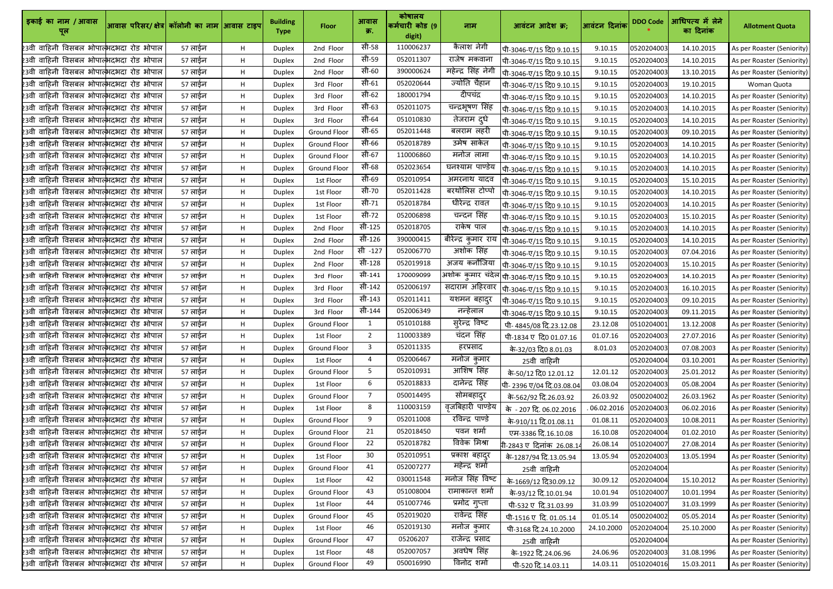| इकाई का नाम / आवास<br>पूल                              | आवास परिसर/ क्षेत्र  कॉलोनी का नाम  आवास टाइप |         |    | <b>Building</b><br><b>Type</b> | <b>Floor</b>        | आवास<br>क्र.    | कोषालय<br>कर्मचारी कोड (9<br>digit) | नाम                 | आवंटन आदेश क्र;                                    | आवंटन दिनांक। | <b>DDO Code</b> | आधिपत्य में लेने<br>का दिनांक | <b>Allotment Quota</b>     |
|--------------------------------------------------------|-----------------------------------------------|---------|----|--------------------------------|---------------------|-----------------|-------------------------------------|---------------------|----------------------------------------------------|---------------|-----------------|-------------------------------|----------------------------|
| 23वी वाहिनी विसबल भोपाल्भदभदा रोड भोपाल                |                                               | 57 लाईन | н  | Duplex                         | 2nd Floor           | सी-58           | 110006237                           | कैलाश नेगी          | पी-3046-ए/15 दि0 9.10.15                           | 9.10.15       | 0520204003      | 14.10.2015                    | As per Roaster (Seniority) |
| 23वी वाहिनी विसबल भोपात् <mark>भ</mark> दभदा रोड भोपाल |                                               | 57 लाईन | Н. | <b>Duplex</b>                  | 2nd Floor           | सी-59           | 052011307                           | राजेष मकवाना        | पी-3046-ए/15 दि0 9.10.15                           | 9.10.15       | 0520204003      | 14.10.2015                    | As per Roaster (Seniority) |
| 23वी वाहिनी विसबल भोपात्भदभदा रोड भोपाल                |                                               | 57 लाईन | н  | <b>Duplex</b>                  | 2nd Floor           | सी-60           | 390000624                           | महेन्द्र सिंह नेगी  | पी-3046-ए/15 दि0 9.10.15                           | 9.10.15       | 0520204003      | 13.10.2015                    | As per Roaster (Seniority) |
| 23वी वाहिनी विसबल भोपात् <mark>भ</mark> दभदा रोड भोपाल |                                               | 57 लाईन | H. | <b>Duplex</b>                  | 3rd Floor           | सी-61           | 052020644                           | ज्योति चैहान        | पी-3046-ए/15 दि0 9.10.15                           | 9.10.15       | 0520204003      | 19.10.2015                    | Woman Quota                |
| 23वी वाहिनी विसबल भोपात् <mark>भ</mark> दभदा रोड भोपाल |                                               | 57 लाईन | H. | <b>Duplex</b>                  | 3rd Floor           | सी-62           | 180001794                           | दीपचंद्र            | पी-3046-ए/15 दि0 9.10.15                           | 9.10.15       | 0520204003      | 14.10.2015                    | As per Roaster (Seniority) |
| 23वी वाहिनी विसबल भोपात्भदभदा रोड भोपाल                |                                               | 57 लाईन | H. | Duplex                         | 3rd Floor           | सी-63           | 052011075                           | चन्द्रभूषण सिंह     | पी-3046-ए/15 दि0 9.10.15                           | 9.10.15       | 0520204003      | 14.10.2015                    | As per Roaster (Seniority) |
| 23वी वाहिनी विसबल भोपात् <mark>भ</mark> दभदा रोड भोपाल |                                               | 57 लाईन | Н. | <b>Duplex</b>                  | 3rd Floor           | सी-64           | 051010830                           | तेजराम दुधे         | पी-3046-ए/15 दि0 9.10.15                           | 9.10.15       | 0520204003      | 14.10.2015                    | As per Roaster (Seniority) |
| 23वी वाहिनी विसबल भोपात्भदभदा रोड भोपाल                |                                               | 57 लाईन | н  | Duplex                         | <b>Ground Floor</b> | सी-65           | 052011448                           | बलराम लहरी          | पी-3046-ए/15 दि0 9.10.15                           | 9.10.15       | 0520204003      | 09.10.2015                    | As per Roaster (Seniority) |
| 23वी वाहिनी विसबल भोपात्भदभदा रोड भोपाल                |                                               | 57 लाईन | н  | Duplex                         | <b>Ground Floor</b> | सी-66           | 052018789                           | उमेष साकेत          | पी-3046-ए/15 दि0 9.10.15                           | 9.10.15       | 0520204003      | 14.10.2015                    | As per Roaster (Seniority) |
| 23वी वाहिनी विसबल भोपात् <mark>भ</mark> दभदा रोड भोपाल |                                               | 57 लाईन | н  | Duplex                         | <b>Ground Floor</b> | सी-67           | 110006860                           | मनोज लामा           | पी-3046-ए/15 दि0 9.10.15                           | 9.10.15       | 0520204003      | 14.10.2015                    | As per Roaster (Seniority) |
| 23वी वाहिनी विसबल भोपाल्भदभदा रोड भोपाल                |                                               | 57 लाईन | Н. | <b>Duplex</b>                  | <b>Ground Floor</b> | सी-68           | 052023654                           | घनश्याम पाण्डेय     | पी-3046-ए/15 दि0 9.10.15                           | 9.10.15       | 0520204003      | 14.10.2015                    | As per Roaster (Seniority) |
| 23वी वाहिनी विसबल भोपात् <mark>भ</mark> दभदा रोड भोपाल |                                               | 57 लाईन | H. | <b>Duplex</b>                  | 1st Floor           | सी-69           | 052010954                           | अमरनाथ यादव         | पी-3046-ए/15 दि0 9.10.15                           | 9.10.15       | 0520204003      | 15.10.2015                    | As per Roaster (Seniority) |
| 23वी वाहिनी विसबल भोपात् <mark>भ</mark> दभदा रोड भोपाल |                                               | 57 लाईन | H. | Duplex                         | 1st Floor           | सी-70           | 052011428                           | बरथोलिस टोप्पो      | पी-3046-ए/15 दि0 9.10.15                           | 9.10.15       | 0520204003      | 14.10.2015                    | As per Roaster (Seniority) |
| 23वी वाहिनी विसबल भोपात् <mark>भ</mark> दभदा रोड भोपाल |                                               | 57 लाईन | Н. | Duplex                         | 1st Floor           | सी-71           | 052018784                           | धीरेन्द्र रावत      | पी-3046-ए/15 दि0 9.10.15                           | 9.10.15       | 0520204003      | 14.10.2015                    | As per Roaster (Seniority) |
| 23वी वाहिनी विसबल भोपात्भदभदा रोड भोपाल                |                                               | 57 लाईन | н  | Duplex                         | 1st Floor           | सी-72           | 052006898                           | चन्दन सिंह          | पी-3046-ए/15 दि0 9.10.15                           | 9.10.15       | 0520204003      | 15.10.2015                    | As per Roaster (Seniority) |
| 23वी वाहिनी विसबल भोपात्भदभदा रोड भोपाल                |                                               | 57 लाईन | н  | <b>Duplex</b>                  | 2nd Floor           | सी-125          | 052018705                           | राकेष पाल           | पी-3046-ए/15 दि0 9.10.15                           | 9.10.15       | 0520204003      | 14.10.2015                    | As per Roaster (Seniority) |
| 23वी वाहिनी विसबल भोपात् <mark>भ</mark> दभदा रोड भोपाल |                                               | 57 लाईन | н  | Duplex                         | 2nd Floor           | सी-126          | 390000415                           | बीरेन्द्र कुमार राय | पी-3046-ए/15 दि0 9.10.15                           | 9.10.15       | 0520204003      | 14.10.2015                    | As per Roaster (Seniority) |
| 23वी वाहिनी विसबल भोपात् <mark>भ</mark> दभदा रोड भोपाल |                                               | 57 लाईन | Н. | <b>Duplex</b>                  | 2nd Floor           | सी -127         | 052006770                           | अशोक सिंह           | पी-3046-ए/15 दि0 9.10.15                           | 9.10.15       | 0520204003      | 07.04.2016                    | As per Roaster (Seniority) |
| 23वी वाहिनी विसबल भोपात्भदभदा रोड भोपाल                |                                               | 57 लाईन | H. | <b>Duplex</b>                  | 2nd Floor           | सी-128          | 052019918                           | अजय कनौजिया         | पी-3046-ए/15 दि0 9.10.15                           | 9.10.15       | 0520204003      | 15.10.2015                    | As per Roaster (Seniority) |
| 23वी वाहिनी विसबल भोपात्भदभदा रोड भोपाल                |                                               | 57 लाईन | H. | Duplex                         | 3rd Floor           | सी-141          | 170009099                           |                     | अशोक कुमार चंदेल  पी-3046- <u>ए/15 दि0 9.10.15</u> | 9.10.15       | 0520204003      | 14.10.2015                    | As per Roaster (Seniority) |
| 23वी वाहिनी विसबल भोपात् <mark>भ</mark> दभदा रोड भोपाल |                                               | 57 लाईन | Н. | <b>Duplex</b>                  | 3rd Floor           | सी-142          | 052006197                           | सदाराम अहिरवार      | पी-3046-ए/15 दि0 9.10.15                           | 9.10.15       | 0520204003      | 16.10.2015                    | As per Roaster (Seniority) |
| 23वी वाहिनी विसबल भोपात्भदभदा रोड भोपाल                |                                               | 57 लाईन | Н. | <b>Duplex</b>                  | 3rd Floor           | सी-143          | 052011411                           | यशमन बहादुर         | पी-3046-ए/15 दि0 9.10.15                           | 9.10.15       | 0520204003      | 09.10.2015                    | As per Roaster (Seniority) |
| 23वी वाहिनी विसबल भोपात्भदभदा रोड भोपाल                |                                               | 57 लाईन | н  | <b>Duplex</b>                  | 3rd Floor           | सी-144          | 052006349                           | नन्हेलाल            | पी-3046-ए/15 दि0 9.10.15                           | 9.10.15       | 0520204003      | 09.11.2015                    | As per Roaster (Seniority) |
| 23वी वाहिनी विसबल भोपाल्भदभदा रोड भोपाल                |                                               | 57 लाईन | H  | <b>Duplex</b>                  | <b>Ground Floor</b> |                 | 051010188                           | सुरेन्द्र विष्ट     | पी- 4845/08 दि.23.12.08                            | 23.12.08      | 0510204001      | 13.12.2008                    | As per Roaster (Seniority) |
| 23वी वाहिनी विसबल भोपात् <mark>भ</mark> दभदा रोड भोपाल |                                               | 57 लाईन | Н. | <b>Duplex</b>                  | 1st Floor           | $2^{\circ}$     | 110003389                           | चंदन सिंह           | पी-1834 ए दि0 01.07.16                             | 01.07.16      | 0520204003      | 27.07.2016                    | As per Roaster (Seniority) |
| 23वी वाहिनी विसबल भोपात्भदभदा रोड भोपाल                |                                               | 57 लाईन | Н. | <b>Duplex</b>                  | Ground Floor        | 3               | 052011335                           | हरप्रसाद            | के-32/03 दि0 8.01.03                               | 8.01.03       | 0520204003      | 07.08.2003                    | As per Roaster (Seniority) |
| 23वी वाहिनी विसबल भोपात्भदभदा रोड भोपाल                |                                               | 57 लाईन | H. | <b>Duplex</b>                  | 1st Floor           | 4               | 052006467                           | मनोज कुमार          | 25वी वाहिनी                                        |               | 0520204004      | 03.10.2001                    | As per Roaster (Seniority) |
| 23वी वाहिनी विसबल भोपात्भदभदा रोड भोपाल                |                                               | 57 लाईन | Н. | <b>Duplex</b>                  | <b>Ground Floor</b> | 5 <sup>1</sup>  | 052010931                           | आशिष सिंह           | के-50/12 दि0 12.01.12                              | 12.01.12      | 0520204003      | 25.01.2012                    | As per Roaster (Seniority) |
| 23वी वाहिनी विसबल भोपात् <mark>भ</mark> दभदा रोड भोपाल |                                               | 57 लाईन | H. | <b>Duplex</b>                  | 1st Floor           | 6               | 052018833                           | दानेन्द्र सिंह      | पी-2396 ए/04 दि.03.08.04                           | 03.08.04      | 0520204003      | 05.08.2004                    | As per Roaster (Seniority) |
| 23वी वाहिनी विसबल भोपात् <mark>भ</mark> दभदा रोड भोपाल |                                               | 57 लाईन | H. | Duplex                         | <b>Ground Floor</b> | $\overline{7}$  | 050014495                           | सोमबहादुर           | के-562/92 दि.26.03.92                              | 26.03.92      | 0500204002      | 26.03.1962                    | As per Roaster (Seniority) |
| 23वी वाहिनी विसबल भोपाल्भदभदा रोड भोपाल                |                                               | 57 लाईन | H. | <b>Duplex</b>                  | 1st Floor           | 8               | 110003159                           | वृजबिहारी पाण्डेय   | के - 207 दि. 06.02.2016                            | 06.02.2016    | 0520204003      | 06.02.2016                    | As per Roaster (Seniority) |
| 23वी वाहिनी विसबल भोपात्भदभदा रोड भोपाल                |                                               | 57 लाईन | Н. | <b>Duplex</b>                  | <b>Ground Floor</b> | 9               | 052011008                           | रविन्द्र पाण्डे     | के-910/11 दि.01.08.11                              | 01.08.11      | 0520204003      | 10.08.2011                    | As per Roaster (Seniority) |
| 23वी वाहिनी विसबल भोपात्भदभदा रोड भोपाल                |                                               | 57 लाईन | Н. | <b>Duplex</b>                  | <b>Ground Floor</b> | 21              | 052018450                           | पवन शर्मा           | एम-3386 दि.16.10.08                                | 16.10.08      | 0520204004      | 01.02.2010                    | As per Roaster (Seniority) |
| 23वी वाहिनी विसबल भोपात्भदभदा रोड भोपाल                |                                               | 57 लाईन | H. | <b>Duplex</b>                  | <b>Ground Floor</b> | 22              | 052018782                           | विवेक मिश्रा        | <b>गे</b> -2843 ए दिनांक 26.08.1 <sub>'</sub>      | 26.08.14      | 0510204007      | 27.08.2014                    | As per Roaster (Seniority) |
| 23वी वाहिनी विसबल भोपात्भदभदा रोड भोपाल                |                                               | 57 लाईन | Н. | <b>Duplex</b>                  | 1st Floor           | 30 <sup>°</sup> | 052010951                           | प्रकाश बहादुर       | के-1287/94 दि.13.05.94                             | 13.05.94      | 0520204003      | 13.05.1994                    | As per Roaster (Seniority) |
| 23वी वाहिनी विसबल भोपात् <mark>भ</mark> दभदा रोड भोपाल |                                               | 57 लाईन | Н. | <b>Duplex</b>                  | <b>Ground Floor</b> | 41              | 052007277                           | महेन्द्र शर्मा      | 25वी वाहिनी                                        |               | 0520204004      |                               | As per Roaster (Seniority) |
| 23वी वाहिनी विसबल भोपात्भदभदा रोड भोपाल                |                                               | 57 लाईन | н  | <b>Duplex</b>                  | 1st Floor           | 42              | 030011548                           | मनोज सिंह विष्ट     | के-1669/12 दि30.09.12                              | 30.09.12      | 0520204004      | 15.10.2012                    | As per Roaster (Seniority) |
| 23वी वाहिनी विसबल भोपाल्भदभदा रोड भोपाल                |                                               | 57 लाईन | H. | <b>Duplex</b>                  | <b>Ground Floor</b> | 43              | 051008004                           | रामाकान्त शर्मा     | के-93/12 दि.10.01.94                               | 10.01.94      | 0510204007      | 10.01.1994                    | As per Roaster (Seniority) |
| 23वी वाहिनी विसबल भोपात्भदभदा रोड भोपाल                |                                               | 57 लाईन | Н. | <b>Duplex</b>                  | 1st Floor           | 44              | 051007746                           | प्रमोद गुप्ता       | पी-532 ए दि.31.03.99                               | 31.03.99      | 0510204007      | 31.03.1999                    | As per Roaster (Seniority) |
| 23वी वाहिनी विसबल भोपात्भदभदा रोड भोपाल                |                                               | 57 लाईन | H. | <b>Duplex</b>                  | <b>Ground Floor</b> | 45              | 052019020                           | रावेन्द्र सिंह      | पी-1516 ए दि. 01.05.14                             | 01.05.14      | 0500204002      | 05.05.2014                    | As per Roaster (Seniority) |
| 23वी वाहिनी विसबल भोपात्भदभदा रोड भोपाल                |                                               | 57 लाईन | H. | <b>Duplex</b>                  | 1st Floor           | 46              | 052019130                           | मनोज कुमार          | पी-3168 दि.24.10.2000                              | 24.10.2000    | 0520204004      | 25.10.2000                    | As per Roaster (Seniority) |
| 23वी वाहिनी विसबल भोपात्भदभदा रोड भोपाल                |                                               | 57 लाईन | H. | <b>Duplex</b>                  | Ground Floor        | 47              | 05206207                            | राजेन्द्र प्रसाद    | 25वी वाहिनी                                        |               | 0520204004      |                               | As per Roaster (Seniority) |
| 23वी वाहिनी विसबल भोपात् <mark>भ</mark> दभदा रोड भोपाल |                                               | 57 लाईन | Н. | <b>Duplex</b>                  | 1st Floor           | 48              | 052007057                           | अवधेष सिंह          | के-1922 दि.24.06.96                                | 24.06.96      | 0520204003      | 31.08.1996                    | As per Roaster (Seniority) |
| 23वी वाहिनी विसबल भोपात् <mark>भ</mark> दभदा रोड भोपाल |                                               | 57 लाईन | H. | <b>Duplex</b>                  | Ground Floor        | 49              | 050016990                           | विनोद शर्मा         | पी-520 दि.14.03.11                                 | 14.03.11      | 0510204016      | 15.03.2011                    | As per Roaster (Seniority) |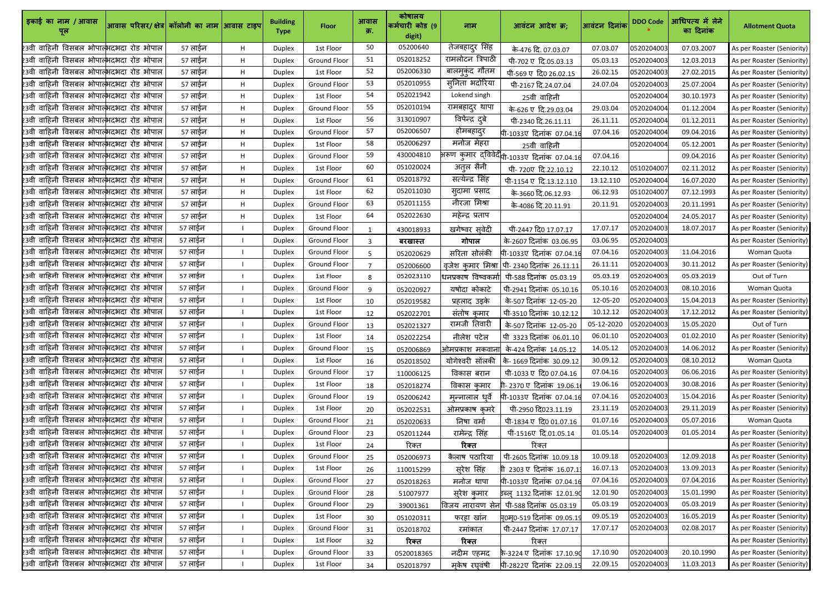| इकाई का नाम / आवास                                          | आवास परिसर/ क्षेत्र  कॉलोनी का नाम  आवास टाइप |         |    | <b>Building</b><br><b>Type</b> | <b>Floor</b>        | आवास<br>क्र.   | कोषालय<br>कर्मचारी कोड (9<br>digit) | नाम                 | आवंटन आदेश क्र;                                          | आवंटन दिनांक | <b>DDO Code</b> | आधिपत्य में लेने<br>का दिनांक | <b>Allotment Quota</b>     |
|-------------------------------------------------------------|-----------------------------------------------|---------|----|--------------------------------|---------------------|----------------|-------------------------------------|---------------------|----------------------------------------------------------|--------------|-----------------|-------------------------------|----------------------------|
| 23वी वाहिनी विसबल भोपात्भदभदा रोड भोपाल                     |                                               | 57 लाईन | н  | <b>Duplex</b>                  | 1st Floor           | 50             | 05200640                            | तेजबहादुर सिंह      | के-476 दि. 07.03.07                                      | 07.03.07     | 0520204003      | 07.03.2007                    | As per Roaster (Seniority) |
| 23वी वाहिनी विसबल भोपात् <mark>भ</mark> दभदा रोड भोपाल      |                                               | 57 लाईन | H  | Duplex                         | <b>Ground Floor</b> | 51             | 052018252                           | रामलोटन त्रिपाठी    | पी-702 ए दि.05.03.13                                     | 05.03.13     | 0520204003      | 12.03.2013                    | As per Roaster (Seniority) |
| 23वी वाहिनी विसबल भोपाल् <mark>भदभदा रोड भोपाल</mark>       |                                               | 57 लाईन | Η. | <b>Duplex</b>                  | 1st Floor           | 52             | 052006330                           | बालमुकुंद गौतम      | पी-569 ए दि0 26.02.15                                    | 26.02.15     | 0520204003      | 27.02.2015                    | As per Roaster (Seniority) |
| 23वी वाहिनी विसबल भोपात् <mark>भ</mark> दभदा रोड भोपाल      |                                               | 57 लाईन | н  | <b>Duplex</b>                  | <b>Ground Floor</b> | 53             | 052010955                           | सुनिता भदोरिया      | पी-2167 दि.24.07.04                                      | 24.07.04     | 0520204003      | 25.07.2004                    | As per Roaster (Seniority) |
| 23वी वाहिनी विसबल भोपात्भदभदा रोड भोपाल                     |                                               | 57 लाईन | Η. | <b>Duplex</b>                  | 1st Floor           | 54             | 052021942                           | Lokend singh        | 25वी वाहिनी                                              |              | 0520204004      | 30.10.1973                    | As per Roaster (Seniority) |
| 23वी वाहिनी विसबल भोपात्भदभदा रोड भोपाल                     |                                               | 57 लाईन | Η. | Duplex                         | <b>Ground Floor</b> | 55             | 052010194                           | रामबहादुर थापा      | के-626 ए दि.29.03.04                                     | 29.03.04     | 0520204004      | 01.12.2004                    | As per Roaster (Seniority) |
| 23वी वाहिनी विसबल भोपात् <mark>भ</mark> दभदा रोड भोपाल      |                                               | 57 लाईन | H. | <b>Duplex</b>                  | 1st Floor           | 56             | 313010907                           | विर्पेन्द्र दुबे    | पी-2340 दि.26.11.11                                      | 26.11.11     | 0520204004      | 01.12.2011                    | As per Roaster (Seniority) |
| 23वी वाहिनी विसबल भोपात्भदभदा रोड भोपाल                     |                                               | 57 लाईन | Η. | <b>Duplex</b>                  | <b>Ground Floor</b> | 57             | 052006507                           | होमबहादुर           | पी-1033ए दिनांक 07.04.1                                  | 07.04.16     | 0520204004      | 09.04.2016                    | As per Roaster (Seniority) |
| 23वी वाहिनी विसबल भोपात् <mark>भ</mark> दभदा रोड भोपाल      |                                               | 57 लाईन | н  | Duplex                         | 1st Floor           | 58             | 052006297                           | मनोज मेहरा          | 25वी वाहिनी                                              |              | 0520204004      | 05.12.2001                    | As per Roaster (Seniority) |
| 23वी वाहिनी विसबल भोपात् <mark>भ</mark> दभदा रोड भोपाल      |                                               | 57 लाईन | Η. | <b>Duplex</b>                  | <b>Ground Floor</b> | 59             | 430004810                           |                     | भरूण कुमार द्विवेदी <sub>पी-103</sub> 3ए दिनांक 07.04.16 | 07.04.16     |                 | 09.04.2016                    | As per Roaster (Seniority) |
| 23वी वाहिनी विसबल भोपात् <mark>भ</mark> दभदा रोड भोपाल      |                                               | 57 लाईन | H. | <b>Duplex</b>                  | 1st Floor           | 60             | 051020024                           | अतुल सैनी           | पी-720ए दि.22.10.12                                      | 22.10.12     | 0510204007      | 02.11.2012                    | As per Roaster (Seniority) |
| 23वी वाहिनी विसबल भोपात्भदभदा रोड भोपाल                     |                                               | 57 लाईन | Η. | <b>Duplex</b>                  | <b>Ground Floor</b> | 61             | 052018792                           | सत्येन्द्र सिंह     | पी-1154 ए दि.13.12.110                                   | 13.12.110    | 0520204004      | 16.07.2020                    | As per Roaster (Seniority) |
| 23वी वाहिनी विसबल भोपात्भदभदा रोड भोपाल                     |                                               | 57 लाईन | Η. | <b>Duplex</b>                  | 1st Floor           | 62             | 052011030                           | सुदामा प्रसाद       | के-3660 दि.06.12.93                                      | 06.12.93     | 0510204007      | 07.12.1993                    | As per Roaster (Seniority) |
| 23वी वाहिनी विसबल भोपात् <mark>भ</mark> दभदा रोड भोपाल      |                                               | 57 लाईन | Η. | <b>Duplex</b>                  | <b>Ground Floor</b> | 63             | 052011155                           | नीरजा मिश्रा        | के-4086 दि.20.11.91                                      | 20.11.91     | 0520204003      | 20.11.1991                    | As per Roaster (Seniority) |
| 23वी वाहिनी विसबल भोपात्भदभदा रोड भोपाल                     |                                               | 57 लाईन | Η. | <b>Duplex</b>                  | 1st Floor           | 64             | 052022630                           | महेन्द्र प्रताप     |                                                          |              | 0520204004      | 24.05.2017                    | As per Roaster (Seniority) |
| 23वी वाहिनी विसबल भोपात् <mark>भ</mark> दभदा रोड भोपाल      |                                               | 57 लाईन |    | Duplex                         | <b>Ground Floor</b> |                | 430018933                           | खगेष्वर सूवेदी      | पी-2447 दि0 17.07.17                                     | 17.07.17     | 0520204003      | 18.07.2017                    | As per Roaster (Seniority) |
| 23वी वाहिनी विसबल भोपात् <mark>भ</mark> दभदा रोड भोपाल      |                                               | 57 लाईन |    | <b>Duplex</b>                  | <b>Ground Floor</b> | २              | बरखास्त                             | गोपाल               | के-2607 दिनांक 03.06.95                                  | 03.06.95     | 0520204003      |                               | As per Roaster (Seniority) |
| .<br>23वी वाहिनी विसबल भोपात् <mark>भ</mark> दभदा रोड भोपाल |                                               | 57 लाईन |    | <b>Duplex</b>                  | <b>Ground Floor</b> | 5              | 052020629                           | सरिता सोलंकी        | पी-1033ए दिनांक 07.04.16                                 | 07.04.16     | 0520204003      | 11.04.2016                    | Woman Quota                |
| 23वी वाहिनी विसबल भोपात् <mark>भ</mark> दभदा रोड भोपाल      |                                               | 57 लाईन |    | <b>Duplex</b>                  | <b>Ground Floor</b> | $\overline{7}$ | 052006600                           |                     | वृजेश कुमार मिश्रा   पी- 2340 दिनांक 26.11.11            | 26.11.11     | 0520204003      | 30.11.2012                    | As per Roaster (Seniority) |
| 23वी वाहिनी विसबल भोपात्भदभदा रोड भोपाल                     |                                               | 57 लाईन |    | <b>Duplex</b>                  | 1st Floor           | 8              | 052023110                           | धनप्रकाष विष्वकर्मा | पी-588 दिनांक 05.03.19                                   | 05.03.19     | 0520204003      | 05.03.2019                    | Out of Turn                |
| 23वी वाहिनी विसबल भोपात्भदभदा रोड भोपाल                     |                                               | 57 लाईन |    | <b>Duplex</b>                  | <b>Ground Floor</b> | 9              | 052020927                           | यषोदा कोकाटे        | पी-2941 दिनांक 05.10.16                                  | 05.10.16     | 0520204003      | 08.10.2016                    | Woman Quota                |
| 23वी वाहिनी विसबल भोपात्भदभदा रोड भोपाल                     |                                               | 57 लाईन |    | Duplex                         | 1st Floor           | 10             | 052019582                           | प्रहलाद उइके        | के-507 दिनांक 12-05-20                                   | 12-05-20     | 0520204003      | 15.04.2013                    | As per Roaster (Seniority) |
| 23वी वाहिनी विसबल भोपात्भदभदा रोड भोपाल                     |                                               | 57 लाईन |    | Duplex                         | 1st Floor           | 12             | 052022701                           | संतोष कमार          | पी-3510 दिनांक 10.12.12                                  | 10.12.12     | 0520204003      | 17.12.2012                    | As per Roaster (Seniority) |
| 23वी वाहिनी विसबल भोपाल्भदभदा रोड भोपाल                     |                                               | 57 लाईन |    | <b>Duplex</b>                  | <b>Ground Floor</b> | 13             | 052021327                           | रामजी तिवारी        | के-507 दिनांक 12-05-20                                   | 05-12-2020   | 0520204003      | 15.05.2020                    | Out of Turn                |
| 23वी वाहिनी विसबल भोपात् <mark>भ</mark> दभदा रोड भोपाल      |                                               | 57 लाईन |    | <b>Duplex</b>                  | 1st Floor           | 14             | 052022254                           | नीलेश पटेल          | पी 3323 दिनांक 06.01.10                                  | 06.01.10     | 0520204003      | 01.02.2010                    | As per Roaster (Seniority) |
| 23वी वाहिनी विसबल भोपात् <mark>भ</mark> दभदा रोड भोपाल      |                                               | 57 लाईन |    | <b>Duplex</b>                  | <b>Ground Floor</b> | 15             | 052006869                           | ओमप्रकाश मकवाना     | के-424 दिनांक 14.05.12                                   | 14.05.12     | 0520204003      | 14.06.2012                    | As per Roaster (Seniority) |
| 23वी वाहिनी विसबल भोपात् <mark>भ</mark> दभदा रोड भोपाल      |                                               | 57 लाईन |    | <b>Duplex</b>                  | 1st Floor           | 16             | 052018502                           | योगेश्वरी सोंलकी    | कि- 1669 दिनांक  30.09.12                                | 30.09.12     | 0520204003      | 08.10.2012                    | Woman Quota                |
| 23वी वाहिनी विसबल भोपात्भदभदा रोड भोपाल                     |                                               | 57 लाईन |    | <b>Duplex</b>                  | <b>Ground Floor</b> | 17             | 110006125                           | विकास बरान          | पी-1033 ए दि0 07.04.16                                   | 07.04.16     | 0520204003      | 06.06.2016                    | As per Roaster (Seniority) |
| 23वी वाहिनी विसबल भोपात् <mark>भ</mark> दभदा रोड भोपाल      |                                               | 57 लाईन |    | <b>Duplex</b>                  | 1st Floor           | 18             | 052018274                           | विकास कमार          | गी-2370 ए दिनांक 19.06.1                                 | 19.06.16     | 0520204003      | 30.08.2016                    | As per Roaster (Seniority) |
| 23वी वाहिनी विसबल भोपात्भदभदा रोड भोपाल                     |                                               | 57 लाईन |    | Duplex                         | <b>Ground Floor</b> | 19             | 052006242                           | मृन्नालाल धर्वे     | पी-1033ए दिनांक 07.04.1                                  | 07.04.16     | 0520204003      | 15.04.2016                    | As per Roaster (Seniority) |
| 23वी वाहिनी विसबल भोपात् <mark>भ</mark> दभदा रोड भोपाल      |                                               | 57 लाईन |    | <b>Duplex</b>                  | 1st Floor           | 20             | 052022531                           | ओमप्रकाष कमरे       | पी-2950 दि023.11.19                                      | 23.11.19     | 0520204003      | 29.11.2019                    | As per Roaster (Seniority) |
| 23वी वाहिनी विसबल भोपात् <mark>भ</mark> दभदा रोड भोपाल      |                                               | 57 लाईन |    | Duplex                         | Ground Floor        | 21             | 052020633                           | निषा वर्मा          | पी-1834 ए दि0 01.07.16                                   | 01.07.16     | 0520204003      | 05.07.2016                    | Woman Quota                |
| 23वी वाहिनी विसबल भोपात् <mark>भ</mark> दभदा रोड भोपाल      |                                               | 57 लाईन |    | <b>Duplex</b>                  | <b>Ground Floor</b> | 23             | 052011244                           | रामेन्द्र सिंह      | पी-1516ए दि.01.05.14                                     | 01.05.14     | 0520204003      | 01.05.2014                    | As per Roaster (Seniority) |
| 23वी वाहिनी विसबल भोपात्भदभदा रोड भोपाल                     |                                               | 57 लाईन |    | <b>Duplex</b>                  | 1st Floor           | 24             | रिक्त                               | रिक्त               | रिक्त                                                    |              |                 |                               | As per Roaster (Seniority) |
| 23वी वाहिनी विसबल भोपात्भदभदा रोड भोपाल                     |                                               | 57 लाईन |    | <b>Duplex</b>                  | <b>Ground Floor</b> | 25             | 052006973                           | कैलाष पठारिया       | पी-2605 दिनांक 10.09.18                                  | 10.09.18     | 0520204003      | 12.09.2018                    | As per Roaster (Seniority) |
| 23वी वाहिनी विसबल भोपात् <mark>भ</mark> दभदा रोड भोपाल      |                                               | 57 लाईन |    | <b>Duplex</b>                  | 1st Floor           | 26             | 110015299                           | सुरेश सिंह          | 2303 ए दिनांक 16.07.1                                    | 16.07.13     | 0520204003      | 13.09.2013                    | As per Roaster (Seniority) |
| 23वी वाहिनी विसबल भोपात् <mark>भ</mark> दभदा रोड भोपाल      |                                               | 57 लाईन |    | <b>Duplex</b>                  | <b>Ground Floor</b> | 27             | 052018263                           | मनोज थापा           | पी-1033ए दिनांक 07.04.16                                 | 07.04.16     | 0520204003      | 07.04.2016                    | As per Roaster (Seniority) |
| 23वी वाहिनी विसबल भोपात् <mark>भ</mark> दभदा रोड भोपाल      |                                               | 57 लाईन |    | <b>Duplex</b>                  | Ground Floor        | 28             | 51007977                            | सुरेश कुमार         | इब्ल्_1132 दिनांक 12.01.9                                | 12.01.90     | 0520204003      | 15.01.1990                    | As per Roaster (Seniority) |
| 23वी वाहिनी विसबल भोपात् <mark>भ</mark> दभदा रोड भोपाल      |                                               | 57 लाईन |    | Duplex                         | Ground Floor        | 29             | 39001361                            | विजय नारायण सेन     | पी-588 दिनांक 05.03.19                                   | 05.03.19     | 0520204003      | 05.03.2019                    | As per Roaster (Seniority) |
| 23वी वाहिनी विसबल भोपात् <mark>भ</mark> दभदा रोड भोपाल      |                                               | 57 लाईन |    | <b>Duplex</b>                  | 1st Floor           | 30             | 051020311                           | फरहा खांन           | पु0म्0-519 दिनांक 09.05.19                               | 09.05.19     | 0520204003      | 16.05.2019                    | As per Roaster (Seniority) |
| 23वी वाहिनी विसबल भोपात् <mark>भ</mark> दभदा रोड भोपाल      |                                               | 57 लाईन |    | <b>Duplex</b>                  | <b>Ground Floor</b> | 31             | 052018702                           | रमांकात             | पी-2447 दिनांक 17.07.17                                  | 17.07.17     | 0520204003      | 02.08.2017                    | As per Roaster (Seniority) |
| 23वी वाहिनी विसबल भोपात्भदभदा रोड भोपाल                     |                                               | 57 लाईन |    | <b>Duplex</b>                  | 1st Floor           | 32             | रिक्त                               | रिक्त               | रिक्त                                                    |              |                 |                               | As per Roaster (Seniority) |
| 23वी वाहिनी विसबल भोपात्भदभदा रोड भोपाल                     |                                               | 57 लाईन |    | <b>Duplex</b>                  | <b>Ground Floor</b> | 33             | 0520018365                          | नदीम एहमद           | <b>के-3224 ए दिनांक 17.10.90</b>                         | 17.10.90     | 0520204003      | 20.10.1990                    | As per Roaster (Seniority) |
| 23वी वाहिनी विसबल भोपाल्भदभदा रोड भोपाल                     |                                               | 57 लाईन |    | Duplex                         | 1st Floor           | 34             | 052018797                           | म्केष रघ्वंषी       | पी-2822ए दिनांक 22.09.15                                 | 22.09.15     | 0520204003      | 11.03.2013                    | As per Roaster (Seniority) |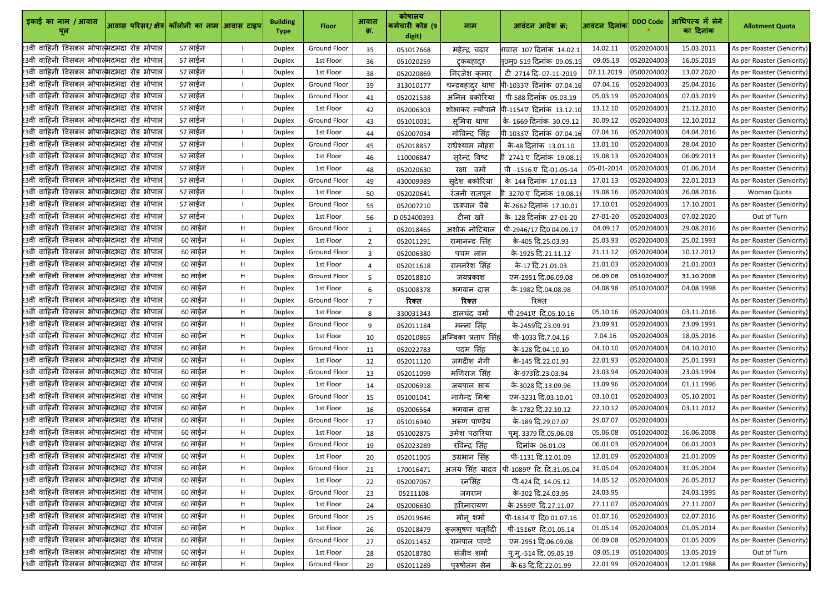| इकाई का नाम / आवास                                     | आवास परिसर/ क्षेत्र  कॉलोनी का नाम  आवास टाइप |         |    | <b>Building</b><br><b>Type</b> | <b>Floor</b>        | आवास<br>क्र.   | कोषालय<br>कर्मचारी कोड (9<br>digit) | नाम                     | आवंटन आदेश क्र;                   | आवंटन दिनांक | <b>DDO Code</b> | आधिपत्य में लेने<br>का दिनांक | <b>Allotment Quota</b>     |
|--------------------------------------------------------|-----------------------------------------------|---------|----|--------------------------------|---------------------|----------------|-------------------------------------|-------------------------|-----------------------------------|--------------|-----------------|-------------------------------|----------------------------|
| 23वी वाहिनी विसबल भोपात् <mark>भ</mark> दभदा रोड भोपाल |                                               | 57 लाईन |    | <b>Duplex</b>                  | <b>Ground Floor</b> | 35             | 051017668                           | महेन्द्र चढार           | गवास 107 दिनांक 14.02.1           | 14.02.11     | 0520204003      | 15.03.2011                    | As per Roaster (Seniority) |
| 23वी वाहिनी विसबल भोपात्भदभदा रोड भोपाल                |                                               | 57 लाईन |    | Duplex                         | 1st Floor           | 36             | 051020259                           | ट्कबहादुर               | <u>म</u> 0म्0-519 दिनांक 09.05.19 | 09.05.19     | 0520204003      | 16.05.2019                    | As per Roaster (Seniority) |
| 23वी वाहिनी विसबल भोपात् <mark>भ</mark> दभदा रोड भोपाल |                                               | 57 लाईन |    | <b>Duplex</b>                  | 1st Floor           | 38             | 052020869                           | गिरजेश कमार             | ਟੀ 2714 दि-07-11-2019             | 07.11.2019   | 0500204002      | 13.07.2020                    | As per Roaster (Seniority) |
| 23वी वाहिनी विसबल भोपात्भदभदा रोड भोपाल                |                                               | 57 लाईन |    | <b>Duplex</b>                  | <b>Ground Floor</b> | 39             | 313010177                           | चन्द्रबहादुर थापा       | पी-1033ए दिनांक 07.04.16          | 07.04.16     | 0520204003      | 25.04.2016                    | As per Roaster (Seniority) |
| 23वी वाहिनी विसबल भोपात्भदभदा रोड भोपाल                |                                               | 57 लाईन |    | <b>Duplex</b>                  | <b>Ground Floor</b> | 41             | 052021538                           | अनिल बकोरिया            | पी-588 दिनांक 05.03.19            | 05.03.19     | 0520204003      | 07.03.2019                    | As per Roaster (Seniority) |
| 23वी वाहिनी विसबल भोपात्भदभदा रोड भोपाल                |                                               | 57 लाईन |    | <b>Duplex</b>                  | 1st Floor           | 42             | 052006303                           | शोभाकर <i>न्</i> यौपाने | पी-1154ए दिनांक 13.12.10          | 13.12.10     | 0520204003      | 21.12.2010                    | As per Roaster (Seniority) |
| 23वी वाहिनी विसबल भोपात्भदभदा रोड भोपाल                |                                               | 57 लाईन |    | <b>Duplex</b>                  | <b>Ground Floor</b> | 43             | 051010031                           | समित्रा थापा            | के-1669 दिनांक 30.09.12           | 30.09.12     | 0520204003      | 12.10.2012                    | As per Roaster (Seniority) |
| 23वी वाहिनी विसबल भोपात्भदभदा रोड भोपाल                |                                               | 57 लाईन |    | <b>Duplex</b>                  | 1st Floor           | 44             | 052007054                           | गोविन्द सिंह            | पी-1033ए दिनांक 07.04.1           | 07.04.16     | 0520204003      | 04.04.2016                    | As per Roaster (Seniority) |
| 23वी वाहिनी विसबल भोपात्भदभदा रोड भोपाल                |                                               | 57 लाईन |    | Duplex                         | <b>Ground Floor</b> | 45             | 052018857                           | राधेश्याम लोहरा         | के-48 दिनांक 13.01.10             | 13.01.10     | 0520204003      | 28.04.2010                    | As per Roaster (Seniority) |
| 23वी वाहिनी विसबल भोपात् <mark>भ</mark> दभदा रोड भोपाल |                                               | 57 लाईन |    | <b>Duplex</b>                  | 1st Floor           | 46             | 110006847                           | <u>सुरेन्</u> द्र विष्ट | गी 2741 ए दिनांक 19.08.1          | 19.08.13     | 0520204003      | 06.09.2013                    | As per Roaster (Seniority) |
| 23वी वाहिनी विसबल भोपात्भदभदा रोड भोपाल                |                                               | 57 लाईन |    | <b>Duplex</b>                  | 1st Floor           | 48             | 052020630                           | वर्मा<br>रक्षा          | पी -1516 ए दि-01-05-14            | 05-01-2014   | 0520204003      | 01.06.2014                    | As per Roaster (Seniority) |
| 23वी वाहिनी विसबल भोपात्भदभदा रोड भोपाल                |                                               | 57 लाईन |    | <b>Duplex</b>                  | <b>Ground Floor</b> | 49             | 430009989                           | सुदेश बकोरिया           | के 144 दिनांक 17.01.13            | 17.01.13     | 0520204003      | 22.01.2013                    | As per Roaster (Seniority) |
| 23वी वाहिनी विसबल भोपात्भदभदा रोड भोपाल                |                                               | 57 लाईन |    | <b>Duplex</b>                  | 1st Floor           | 50             | 052020641                           | रंजनी राजपूत            | . 3270 ए दिनांक 19.08.1           | 19.08.16     | 0520204003      | 26.08.2016                    | Woman Quota                |
| 23वी वाहिनी विसबल भोपात्भदभदा रोड भोपाल                |                                               | 57 लाईन |    | <b>Duplex</b>                  | <b>Ground Floor</b> | 55             | 052007210                           | छत्रपाल चैबे            | के-2662 दिनांक 17.10.01           | 17.10.01     | 0520204003      | 17.10.2001                    | As per Roaster (Seniority) |
| 23वी वाहिनी विसबल भोपात्भदभदा रोड भोपाल                |                                               | 57 लाईन |    | <b>Duplex</b>                  | 1st Floor           | 56             | D052400393                          | टीना खरे                | के 128 दिनांक 27-01-20            | 27-01-20     | 0520204003      | 07.02.2020                    | Out of Turn                |
| 23वी वाहिनी विसबल भोपात्भदभदा रोड भोपाल                |                                               | 60 लाईन | Н. | Duplex                         | <b>Ground Floor</b> |                | 052018465                           | अशोक नोटियाल            | पी-2946/17 दि0 04.09.17           | 04.09.17     | 0520204003      | 29.08.2016                    | As per Roaster (Seniority) |
| 23वी वाहिनी विसबल भोपात्भदभदा रोड भोपाल                |                                               | 60 लाईन | H  | <b>Duplex</b>                  | 1st Floor           | $\overline{2}$ | 052011291                           | रामानन्द सिंह           | के-405 दि.25.03.93                | 25.03.93     | 0520204003      | 25.02.1993                    | As per Roaster (Seniority) |
| 23वी वाहिनी विसबल भोपात् <mark>भ</mark> दभदा रोड भोपाल |                                               | 60 लाईन | Н. | <b>Duplex</b>                  | <b>Ground Floor</b> | $\mathbf{3}$   | 052006380                           | पचम लाल                 | के-1925 दि.21.11.12               | 21.11.12     | 0520204004      | 10.12.2012                    | As per Roaster (Seniority) |
| 23वी वाहिनी विसबल भोपात्भदभदा रोड भोपाल                |                                               | 60 लाईन | H. | <b>Duplex</b>                  | 1st Floor           | $\overline{4}$ | 052011618                           | रामनरेश सिंह            | के-17 दि.21.01.03                 | 21.01.03     | 0520204003      | 21.01.2003                    | As per Roaster (Seniority) |
| 23वी वाहिनी विसबल भोपात्भदभदा रोड भोपाल                |                                               | 60 लाईन | H  | Duplex                         | <b>Ground Floor</b> | 5.             | 052018810                           | जयप्रकाश                | एम-2951 दि.06.09.08               | 06.09.08     | 0510204007      | 31.10.2008                    | As per Roaster (Seniority) |
| 23वी वाहिनी विसबल भोपात्भदभदा रोड भोपाल                |                                               | 60 लाईन | H. | <b>Duplex</b>                  | 1st Floor           | 6              | 051008378                           | भगवान दास               | के-1982 दि.04.08.98               | 04.08.98     | 0510204007      | 04.08.1998                    | As per Roaster (Seniority) |
| 23वी वाहिनी विसबल भोपात् <mark>भ</mark> दभदा रोड भोपाल |                                               | 60 लाईन | Н. | <b>Duplex</b>                  | <b>Ground Floor</b> |                | रिक्त                               | रिक्त                   | रिक्त                             |              |                 |                               | As per Roaster (Seniority) |
| 23वी वाहिनी विसबल भोपात्भदभदा रोड भोपाल                |                                               | 60 लाईन | Н. | <b>Duplex</b>                  | 1st Floor           | 8              | 330031343                           | डालचंद वर्मा            | पी-2941ए दि.05.10.16              | 05.10.16     | 0520204003      | 03.11.2016                    | As per Roaster (Seniority) |
| 23वी वाहिनी विसबल भोपाल् <mark>भदभदा रोड भोपाल</mark>  |                                               | 60 लाईन | H  | <b>Duplex</b>                  | Ground Floor        |                | 052011184                           | मन्ना सिंह              | के-2459दि.23.09.91                | 23.09.91     | 0520204003      | 23.09.1991                    | As per Roaster (Seniority) |
| 23वी वाहिनी विसबल भोपात् <mark>भ</mark> दभदा रोड भोपाल |                                               | 60 लाईन | H  | <b>Duplex</b>                  | 1st Floor           | 10             | 052010865                           | अम्बिका प्रताप सिंह     | पी-1033 दि.7.04.16                | 7.04.16      | 0520204003      | 18.05.2016                    | As per Roaster (Seniority) |
| 23वी वाहिनी विसबल भोपात्भदभदा रोड भोपाल                |                                               | 60 लाईन | H  | <b>Duplex</b>                  | <b>Ground Floor</b> | 11             | 052022783                           | पदम सिंह                | के-128 दि.04.10.10                | 04.10.10     | 0520204003      | 04.10.2010                    | As per Roaster (Seniority) |
| 23वी वाहिनी विसबल भोपात्भदभदा रोड भोपाल                |                                               | 60 लाईन | H  | <b>Duplex</b>                  | 1st Floor           | 12             | 052011120                           | जगदीश नेगी              | के-145 दि.22.01.93                | 22.01.93     | 0520204003      | 25.01.1993                    | As per Roaster (Seniority) |
| 23वी वाहिनी विसबल भोपात्भदभदा रोड भोपाल                |                                               | 60 लाईन | Н. | <b>Duplex</b>                  | <b>Ground Floor</b> | 13             | 052011099                           | मणिराज सिंह             | के-973दि.23.03.94                 | 23.03.94     | 0520204003      | 23.03.1994                    | As per Roaster (Seniority) |
| 23वी वाहिनी विसबल भोपाल्भदभदा रोड भोपाल                |                                               | 60 लाईन | Н. | <b>Duplex</b>                  | 1st Floor           | 14             | 052006918                           | जयपाल साय               | के-3028 दि.13.09.96               | 13.09.96     | 0520204004      | 01.11.1996                    | As per Roaster (Seniority) |
| 23वी वाहिनी विसबल भोपात् <mark>भ</mark> दभदा रोड भोपाल |                                               | 60 लाईन | H  | <b>Duplex</b>                  | Ground Floor        | 15             | 051001041                           | नागेन्द्र मिश्रा        | एम-3231 दि.03.10.01               | 03.10.01     | 0520204003      | 05.10.2001                    | As per Roaster (Seniority) |
| 23वी वाहिनी विसबल भोपाल्भदभदा रोड भोपाल                |                                               | 60 लाईन | H  | <b>Duplex</b>                  | 1st Floor           | 16             | 052006564                           | भगवान दास               | के-1782 दि.22.10.12               | 22.10.12     | 0520204003      | 03.11.2012                    | As per Roaster (Seniority) |
| 23वी वाहिनी विसबल भोपाल्भदभदा रोड भोपाल                |                                               | 60 लाईन | H. | <b>Duplex</b>                  | <b>Ground Floor</b> | 17             | 051016940                           | अरूण पाण्डेय            | के-189 दि.29.07.07                | 29.07.07     | 0520204003      |                               | As per Roaster (Seniority) |
| 23वी वाहिनी विसबल भोपात्भदभदा रोड भोपाल                |                                               | 60 लाईन | H  | <b>Duplex</b>                  | 1st Floor           | 18             | 051002875                           | उमेश पठारिया            | पूम्. 3379 दि.05.06.08            | 05.06.08     | 0510204002      | 16.06.2008                    | As per Roaster (Seniority) |
| 23वी वाहिनी विसबल भोपात्भदभदा रोड भोपाल                |                                               | 60 लाईन | H. | <b>Duplex</b>                  | <b>Ground Floor</b> | 19             | 052023289                           | रविन्द्र सिंह           | दिनांक 06.01.03                   | 06.01.03     | 0520204004      | 06.01.2003                    | As per Roaster (Seniority) |
| 23वी वाहिनी विसबल भोपात्भदभदा रोड भोपाल                |                                               | 60 लाईन | H. | <b>Duplex</b>                  | 1st Floor           | 20             | 052011005                           | उग्रभान सिंह            | पी-1131 दि.12.01.09               | 12.01.09     | 0520204003      | 21.01.2009                    | As per Roaster (Seniority) |
| 23वी वाहिनी विसबल भोपात् <mark>भ</mark> दभदा रोड भोपाल |                                               | 60 लाईन | H. | <b>Duplex</b>                  | <b>Ground Floor</b> | 21             | 170016471                           | अजय सिंह यादव           | पी-1089ए दि. दि.31.05.04          | 31.05.04     | 0520204003      | 31.05.2004                    | As per Roaster (Seniority) |
| 23वी वाहिनी विसबल भोपात्भदभदा रोड भोपाल                |                                               | 60 लाईन | H  | <b>Duplex</b>                  | 1st Floor           | 22             | 052007067                           | रनसिंह                  | पी-424 दि. 14.05.12               | 14.05.12     | 0520204003      | 26.05.2012                    | As per Roaster (Seniority) |
| 23वी वाहिनी विसबल भोपाल्भदभदा रोड भोपाल                |                                               | 60 लाईन | Н. | <b>Duplex</b>                  | <b>Ground Floor</b> | 23             | 05211108                            | जगराम                   | के-302 दि.24.03.95                | 24.03.95     |                 | 24.03.1995                    | As per Roaster (Seniority) |
| 23वी वाहिनी विसबल भोपात्भदभदा रोड भोपाल                |                                               | 60 लाईन | H  | <b>Duplex</b>                  | 1st Floor           | 24             | 052006630                           | हरिनारायण               | के-2559ए दि.27.11.07              | 27.11.07     | 0520204003      | 27.11.2007                    | As per Roaster (Seniority) |
| 23वी वाहिनी विसबल भोपात् <mark>भ</mark> दभदा रोड भोपाल |                                               | 60 लाईन | Н. | <b>Duplex</b>                  | <b>Ground Floor</b> | 25             | 052019646                           | मोन् शर्मा              | पी-1834 ए दि0 01.07.16            | 01.07.16     | 0520204003      | 02.07.2016                    | As per Roaster (Seniority) |
| 23वी वाहिनी विसबल भोपात्भदभदा रोड भोपाल                |                                               | 60 लाईन | H  | <b>Duplex</b>                  | 1st Floor           | 26             | 052018479                           | कुलभूषण चतुर्वेदी       | पी-1516ए दि.01.05.14              | 01.05.14     | 0520204003      | 01.05.2014                    | As per Roaster (Seniority) |
| 23वी वाहिनी विसबल भोपात्भदभदा रोड भोपाल                |                                               | 60 लाईन | H  | <b>Duplex</b>                  | Ground Floor        | 27             | 052011452                           | रामपाल पाण्डे           | एम-2951 दि.06.09.08               | 06.09.08     | 0520204003      | 01.05.2009                    | As per Roaster (Seniority) |
| 23वी वाहिनी विसबल भोपात्भदभदा रोड भोपाल                |                                               | 60 लाईन | Н. | <b>Duplex</b>                  | 1st Floor           | 28             | 052018780                           | संजीव शर्मा             | <u>पृ.मृ.-514 दि. 09.05.19</u>    | 09.05.19     | 0510204005      | 13.05.2019                    | Out of Turn                |
| 23वी वाहिनी विसबल भोपाल्भदभदा रोड भोपाल                |                                               | 60 लाईन | H  | <b>Duplex</b>                  | Ground Floor        | 29             | 052011289                           | पुरुषोतम सेन            | के-63 दि.दि.22.01.99              | 22.01.99     | 0520204003      | 12.01.1988                    | As per Roaster (Seniority) |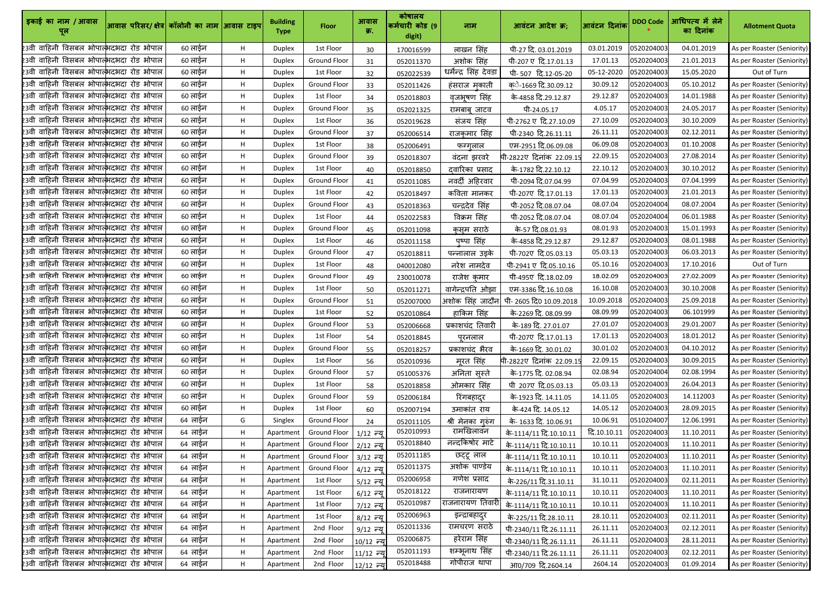| इकाई का नाम / आवास<br>पूल                              | आवास परिसर/ क्षेत्र  कॉलोनी का नाम  आवास टाइप |         |    | <b>Building</b><br><b>Type</b> | <b>Floor</b>        | आवास<br>क्र. | कोषालय<br>कर्मचारी कोड (9<br>digit) | नाम                     | आवंटन आदेश क्र;          | आवंटन दिनांक | <b>DDO Code</b> | आधिपत्य में लेने<br>का दिनांक | <b>Allotment Quota</b>     |
|--------------------------------------------------------|-----------------------------------------------|---------|----|--------------------------------|---------------------|--------------|-------------------------------------|-------------------------|--------------------------|--------------|-----------------|-------------------------------|----------------------------|
| 23वी वाहिनी विसबल भोपात्भदभदा रोड भोपाल                |                                               | 60 लाईन | Н. | <b>Duplex</b>                  | 1st Floor           | 30           | 170016599                           | लाखन सिंह               | पी-27 दि. 03.01.2019     | 03.01.2019   | 0520204003      | 04.01.2019                    | As per Roaster (Seniority) |
| 23वी वाहिनी विसबल भोपात् <mark>भ</mark> दभदा रोड भोपाल |                                               | 60 लाईन | H. | Duplex                         | <b>Ground Floor</b> | 31           | 052011370                           | अशोक सिंह               | पी-207 ए दि.17.01.13     | 17.01.13     | 0520204003      | 21.01.2013                    | As per Roaster (Seniority) |
| 23वी वाहिनी विसबल भोपात् <mark>भ</mark> दभदा रोड भोपाल |                                               | 60 लाईन | Н. | <b>Duplex</b>                  | 1st Floor           | 32           | 052022539                           | धर्मेन्द्र सिंह देवडा   | पी-507 दि.12-05-20       | 05-12-2020   | 0520204003      | 15.05.2020                    | Out of Turn                |
| 23वी वाहिनी विसबल भोपात्भदभदा रोड भोपाल                |                                               | 60 लाईन | Н. | <b>Duplex</b>                  | <b>Ground Floor</b> | 33           | 052011426                           | हंसराज मुकाती           | क्े-1669 दि.30.09.12     | 30.09.12     | 0520204003      | 05.10.2012                    | As per Roaster (Seniority) |
| 23वी वाहिनी विसबल भोपात्भदभदा रोड भोपाल                |                                               | 60 लाईन | Н. | <b>Duplex</b>                  | 1st Floor           | 34           | 052018803                           | वृजभूषण सिंह            | के-4858 दि.29.12.87      | 29.12.87     | 0520204003      | 14.01.1988                    | As per Roaster (Seniority) |
| 23वी वाहिनी विसबल भोपात्भदभदा रोड भोपाल                |                                               | 60 लाईन | Η. | <b>Duplex</b>                  | <b>Ground Floor</b> | 35           | 052021325                           | रामबाब जाटव             | पी-24.05.17              | 4.05.17      | 0520204003      | 24.05.2017                    | As per Roaster (Seniority) |
| 23वी वाहिनी विसबल भोपात् <mark>भ</mark> दभदा रोड भोपाल |                                               | 60 लाईन | Н. | <b>Duplex</b>                  | 1st Floor           | 36           | 052019628                           | संजय सिंह               | पी-2762 ए दि.27.10.09    | 27.10.09     | 0520204003      | 30.10.2009                    | As per Roaster (Seniority) |
| 23वी वाहिनी विसबल भोपात्भदभदा रोड भोपाल                |                                               | 60 लाईन | Н. | <b>Duplex</b>                  | <b>Ground Floor</b> | 37           | 052006514                           | राजकमार सिंह            | पी-2340 दि.26.11.11      | 26.11.11     | 0520204003      | 02.12.2011                    | As per Roaster (Seniority) |
| 23वी वाहिनी विसबल भोपात्भिदभदा रोड भोपाल               |                                               | 60 लाईन | н  | Duplex                         | 1st Floor           | 38           | 052006491                           | फग्गुलाल                | एम-2951 दि.06.09.08      | 06.09.08     | 0520204003      | 01.10.2008                    | As per Roaster (Seniority) |
| 23वी वाहिनी विसबल भोपात् <mark>भ</mark> दभदा रोड भोपाल |                                               | 60 लाईन | H. | <b>Duplex</b>                  | <b>Ground Floor</b> | 39           | 052018307                           | वंदना झरवरे             | पी-2822ए दिनांक 22.09.1  | 22.09.15     | 0520204003      | 27.08.2014                    | As per Roaster (Seniority) |
| 23वी वाहिनी विसबल भोपात्भदभदा रोड भोपाल                |                                               | 60 लाईन | Н. | <b>Duplex</b>                  | 1st Floor           | 40           | 052018850                           | दवारिका प्रसाद          | के-1782 दि.22.10.12      | 22.10.12     | 0520204003      | 30.10.2012                    | As per Roaster (Seniority) |
| 23वी वाहिनी विसबल भोपात्भदभदा रोड भोपाल                |                                               | 60 लाईन | H. | <b>Duplex</b>                  | <b>Ground Floor</b> | 41           | 052011085                           | नवर्दी अहिरवार          | पी-2094 दि.07.04.99      | 07.04.99     | 0520204003      | 07.04.1999                    | As per Roaster (Seniority) |
| 23वी वाहिनी विसबल भोपात्भदभदा रोड भोपाल                |                                               | 60 लाईन | H. | <b>Duplex</b>                  | 1st Floor           | 42           | 052018497                           | कविता मानकर             | पी-207ए दि.17.01.13      | 17.01.13     | 0520204003      | 21.01.2013                    | As per Roaster (Seniority) |
| 23वी वाहिनी विसबल भोपात् <mark>भ</mark> दभदा रोड भोपाल |                                               | 60 लाईन | H  | <b>Duplex</b>                  | <b>Ground Floor</b> | 43           | 052018363                           | चन्द्रदेव सिंह          | पी-2052 दि.08.07.04      | 08.07.04     | 0520204004      | 08.07.2004                    | As per Roaster (Seniority) |
| 23वी वाहिनी विसबल भोपात्भदभदा रोड भोपाल                |                                               | 60 लाईन | H  | <b>Duplex</b>                  | 1st Floor           | 44           | 052022583                           | विक्रम सिंह             | पी-2052 दि.08.07.04      | 08.07.04     | 0520204004      | 06.01.1988                    | As per Roaster (Seniority) |
| 23वी वाहिनी विसबल भोपात्भिदभदा रोड भोपाल               |                                               | 60 लाईन | H  | Duplex                         | <b>Ground Floor</b> | 45           | 052011098                           | <u>कुसू</u> म सराठे     | के-57 दि.08.01.93        | 08.01.93     | 0520204003      | 15.01.1993                    | As per Roaster (Seniority) |
| 23वी वाहिनी विसबल भोपात्भदभदा रोड भोपाल                |                                               | 60 लाईन | Н. | <b>Duplex</b>                  | 1st Floor           | 46           | 052011158                           | पुष्पा सिंह             | के-4858 दि.29.12.87      | 29.12.87     | 0520204003      | 08.01.1988                    | As per Roaster (Seniority) |
| 23वी वाहिनी विसबल भोपात् <mark>भ</mark> दभदा रोड भोपाल |                                               | 60 लाईन | Н. | <b>Duplex</b>                  | <b>Ground Floor</b> | 47           | 052018811                           | पन्नालाल उइके           | पी-702ए दि.05.03.13      | 05.03.13     | 0520204003      | 06.03.2013                    | As per Roaster (Seniority) |
| 23वी वाहिनी विसबल भोपात्भदभदा रोड भोपाल                |                                               | 60 लाईन | H  | <b>Duplex</b>                  | 1st Floor           | 48           | 040012080                           | नरेश नामदेव             | पी-2941 ए दि.05.10.16    | 05.10.16     | 0520204003      | 17.10.2016                    | Out of Turn                |
| 23वी वाहिनी विसबल भोपात्भदभदा रोड भोपाल                |                                               | 60 लाईन | H. | Duplex                         | <b>Ground Floor</b> | 49           | 230010078                           | राजेश कुमार             | पी-495ए दि.18.02.09      | 18.02.09     | 0520204003      | 27.02.2009                    | As per Roaster (Seniority) |
| 23वी वाहिनी विसबल भोपात् <mark>भ</mark> दभदा रोड भोपाल |                                               | 60 लाईन | H. | <b>Duplex</b>                  | 1st Floor           | 50           | 052011271                           | वागेन्द्रपति ओझा        | एम-3386 दि.16.10.08      | 16.10.08     | 0520204003      | 30.10.2008                    | As per Roaster (Seniority) |
| 23वी वाहिनी विसबल भोपात्भदभदा रोड भोपाल                |                                               | 60 लाईन | Н. | <b>Duplex</b>                  | <b>Ground Floor</b> | 51           | 052007000                           | अशोक सिंह जादौन         | पी- 2605 दि0 10.09.2018  | 10.09.2018   | 0520204003      | 25.09.2018                    | As per Roaster (Seniority) |
| 23वी वाहिनी विसबल भोपात् <mark>भ</mark> दभदा रोड भोपाल |                                               | 60 लाईन | H  | <b>Duplex</b>                  | 1st Floor           | 52           | 052010864                           | हाकिम सिंह              | के-2269 दि. 08.09.99     | 08.09.99     | 0520204003      | 06.101999                     | As per Roaster (Seniority) |
| 23वी वाहिनी विसबल भोपाल्भदभदा रोड भोपाल                |                                               | 60 लाईन | H  | <b>Duplex</b>                  | Ground Floor        | 53           | 052006668                           | <u>प्रकाशचंद</u> तिवारी | के-189 दि. 27.01.07      | 27.01.07     | 0520204003      | 29.01.2007                    | As per Roaster (Seniority) |
| 23वी वाहिनी विसबल भोपात् <mark>भ</mark> दभदा रोड भोपाल |                                               | 60 लाईन | Н. | <b>Duplex</b>                  | 1st Floor           | 54           | 052018845                           | पुरनलाल                 | पी-207ए दि.17.01.13      | 17.01.13     | 0520204003      | 18.01.2012                    | As per Roaster (Seniority) |
| 23वी वाहिनी विसबल भोपात् <mark>भ</mark> दभदा रोड भोपाल |                                               | 60 लाईन | Н. | <b>Duplex</b>                  | <b>Ground Floor</b> | 55           | 052018257                           | प्रकाशचंद भैरव          | के-1669 दि. 30.01.02     | 30.01.02     | 0520204003      | 04.10.2012                    | As per Roaster (Seniority) |
| 23वी वाहिनी विसबल भोपात्भदभदा रोड भोपाल                |                                               | 60 लाईन | H. | <b>Duplex</b>                  | 1st Floor           | 56           | 052010936                           | मूरत सिंह               | पी-2822ए दिनांक 22.09.1! | 22.09.15     | 0520204003      | 30.09.2015                    | As per Roaster (Seniority) |
| 23वी वाहिनी विसबल भोपात् <mark>भ</mark> दभदा रोड भोपाल |                                               | 60 लाईन | H. | <b>Duplex</b>                  | Ground Floor        | 57           | 051005376                           | अनिता सुस्ते            | के-1775 दि. 02.08.94     | 02.08.94     | 0520204004      | 02.08.1994                    | As per Roaster (Seniority) |
| 23वी वाहिनी विसबल भोपात्भदभदा रोड भोपाल                |                                               | 60 लाईन | н  | <b>Duplex</b>                  | 1st Floor           | 58           | 052018858                           | ओमकार सिंह              | ਧੀ 207ए दि.05.03.13      | 05.03.13     | 0520204003      | 26.04.2013                    | As per Roaster (Seniority) |
| 23वी वाहिनी विसबल भोपात् <mark>भ</mark> दभदा रोड भोपाल |                                               | 60 लाईन | H  | <b>Duplex</b>                  | Ground Floor        | 59           | 052006184                           | रिंगबहादुर              | के-1923 दि. 14.11.05     | 14.11.05     | 0520204003      | 14.112003                     | As per Roaster (Seniority) |
| 23वी वाहिनी विसबल भोपाल्भदभदा रोड भोपाल                |                                               | 60 लाईन | H. | <b>Duplex</b>                  | 1st Floor           | 60           | 052007194                           | उमाकांत राय             | के-424 दि. 14.05.12      | 14.05.12     | 0520204003      | 28.09.2015                    | As per Roaster (Seniority) |
| 23वी वाहिनी विसबल भोपात् <mark>भ</mark> दभदा रोड भोपाल |                                               | 64 लाईन | G  | Singlex                        | Ground Floor        | 24           | 052011105                           | श्री मेनका गुरुंग       | के- 1633 दि. 10.06.91    | 10.06.91     | 0510204007      | 12.06.1991                    | As per Roaster (Seniority) |
| 23वी वाहिनी विसबल भोपात्भदभदा रोड भोपाल                |                                               | 64 लाईन | Н. | Apartment                      | Ground Floor        | $1/12$ न्य   | 052010993                           | रामखिलावन               | के-1114/11 दि.10.10.11   | दि.10.10.11  | 0520204003      | 11.10.2011                    | As per Roaster (Seniority) |
| 23वी वाहिनी विसबल भोपात्भदभदा रोड भोपाल                |                                               | 64 लाईन | H. | Apartment                      | Ground Floor        | $2/12$ न्य   | 052018840                           | नन्दकिषोर माटे          | के-1114/11 दि.10.10.11   | 10.10.11     | 0520204003      | 11.10.2011                    | As per Roaster (Seniority) |
| 23वी वाहिनी विसबल भोपात्भदभदा रोड भोपाल                |                                               | 64 लाईन | H. | Apartment                      | Ground Floor        | 3/12 न्य     | 052011185                           | छट्टू लाल               | के-1114/11 दि.10.10.11   | 10.10.11     | 0520204003      | 11.10.2011                    | As per Roaster (Seniority) |
| 23वी वाहिनी विसबल भोपात् <mark>भ</mark> दभदा रोड भोपाल |                                               | 64 लाईन | Η. | Apartment                      | Ground Floor        | $4/12$ न्य   | 052011375                           | अशोक पाण्डेय            | के-1114/11 दि.10.10.11   | 10.10.11     | 0520204003      | 11.10.2011                    | As per Roaster (Seniority) |
| 23वी वाहिनी विसबल भोपात् <mark>भ</mark> दभदा रोड भोपाल |                                               | 64 लाईन | Н. | Apartment                      | 1st Floor           | $5/12$ न्य   | 052006958                           | गणेश प्रसाद             | के-226/11 दि.31.10.11    | 31.10.11     | 0520204003      | 02.11.2011                    | As per Roaster (Seniority) |
| 23वी वाहिनी विसबल भोपात् <mark>भ</mark> दभदा रोड भोपाल |                                               | 64 लाईन | Н. | Apartment                      | 1st Floor           | $6/12$ न्य   | 052018122                           | राजनारायण               | के-1114/11 दि.10.10.11   | 10.10.11     | 0520204003      | 11.10.2011                    | As per Roaster (Seniority) |
| .<br>23वी वाहिनी विसबल भोपात्भदभदा रोड भोपाल           |                                               | 64 लाईन | Н. | Apartment                      | 1st Floor           | $7/12$ न्यू  | 052010987                           | राजनारायण तिवारी        | के-1114/11 दि.10.10.11   | 10.10.11     | 0520204003      | 11.10.2011                    | As per Roaster (Seniority) |
| 23वी वाहिनी विसबल भोपात् <mark>भ</mark> दभदा रोड भोपाल |                                               | 64 लाईन | Н. | Apartment                      | 1st Floor           | 8/12 न्यू    | 052006963                           | इन्द्राबहादुर           | के-225/11 दि.28.10.11    | 28.10.11     | 0520204003      | 02.11.2011                    | As per Roaster (Seniority) |
| 23वी वाहिनी विसबल भोपात् <mark>भ</mark> दभदा रोड भोपाल |                                               | 64 लाईन | H. | Apartment                      | 2nd Floor           | $9/12$ न्य   | 052011336                           | रामचरण सराठे            | पी-2340/11 दि.26.11.11   | 26.11.11     | 0520204003      | 02.12.2011                    | As per Roaster (Seniority) |
| 23वी वाहिनी विसबल भोपात्भदभदा रोड भोपाल                |                                               | 64 लाईन | H. | Apartment                      | 2nd Floor           | 10/12 न्य    | 052006875                           | हरेराम सिंह             | पी-2340/11 दि.26.11.11   | 26.11.11     | 0520204003      | 28.11.2011                    | As per Roaster (Seniority) |
| 23वी वाहिनी विसबल भोपात् <mark>भ</mark> दभदा रोड भोपाल |                                               | 64 लाईन | H. | Apartment                      | 2nd Floor           | 11/12 न्यू   | 052011193                           | शम्भूनाथ सिंह           | पी-2340/11 दि.26.11.11   | 26.11.11     | 0520204003      | 02.12.2011                    | As per Roaster (Seniority) |
| 23वी वाहिनी विसबल भोपाल्भदभदा रोड भोपाल                |                                               | 64 लाईन | Η. | Apartment                      | 2nd Floor           | 12/12 न्यू   | 052018488                           | गोपीराज थापा            | आ0/709 दि.2604.14        | 2604.14      | 0520204003      | 01.09.2014                    | As per Roaster (Seniority) |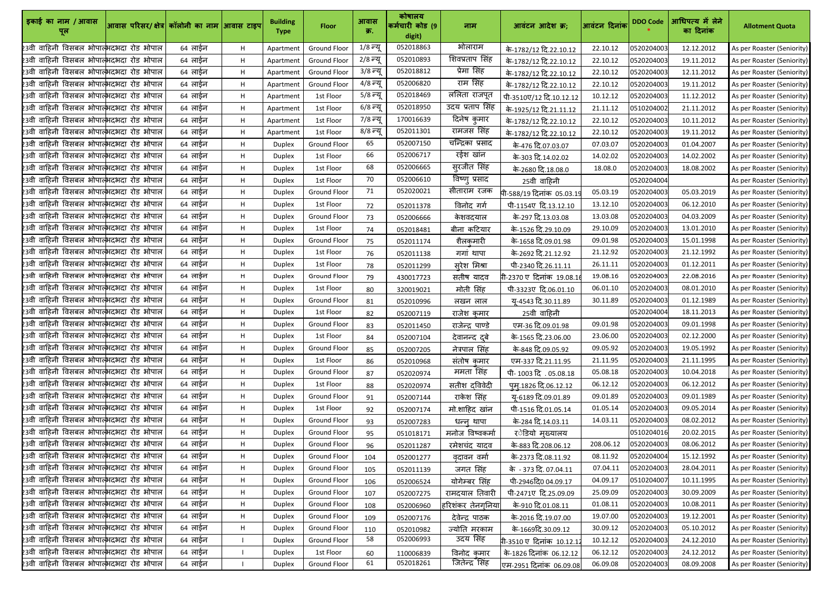| इकाई का नाम / आवास                                     | आवास परिसर/ क्षेत्र  कॉलोनी का नाम  आवास टाइप |         |    | <b>Building</b><br><b>Type</b> | <b>Floor</b>        | आवास<br>क्र. | कोषालय<br>कर्मचारी कोड (9<br>digit) | नाम               | आवंटन आदेश क्र;            | आवंटन दिनांक | <b>DDO Code</b> | आधिपत्य में लेने<br>का दिनांक | <b>Allotment Quota</b>     |
|--------------------------------------------------------|-----------------------------------------------|---------|----|--------------------------------|---------------------|--------------|-------------------------------------|-------------------|----------------------------|--------------|-----------------|-------------------------------|----------------------------|
| 23वी वाहिनी विसबल भोपात्भदभदा रोड भोपाल                |                                               | 64 लाईन | H  | Apartment                      | <b>Ground Floor</b> | 1/8 न्यू     | 052018863                           | भोलाराम           | के-1782/12 दि.22.10.12     | 22.10.12     | 0520204003      | 12.12.2012                    | As per Roaster (Seniority) |
| 23वी वाहिनी विसबल भोपात् <mark>भ</mark> दभदा रोड भोपाल |                                               | 64 लाईन | H  | Apartment                      | <b>Ground Floor</b> | 2/8 न्यू     | 052010893                           | शिवप्रताप सिंह    | के-1782/12 दि.22.10.12     | 22.10.12     | 0520204003      | 19.11.2012                    | As per Roaster (Seniority) |
| 23वी वाहिनी विसबल भोपाल्भदभदा रोड भोपाल                |                                               | 64 लाईन | H  | Apartment                      | <b>Ground Floor</b> | 3/8 न्यू     | 052018812                           | प्रेमा सिंह       | के-1782/12 दि.22.10.12     | 22.10.12     | 0520204003      | 12.11.2012                    | As per Roaster (Seniority) |
| 23वी वाहिनी विसबल भोपाल्भदभदा रोड भोपाल                |                                               | 64 लाईन | H  | Apartment                      | <b>Ground Floor</b> | 4/8 न्यू     | 052006820                           | राम सिंह          | के-1782/12 दि.22.10.12     | 22.10.12     | 0520204003      | 19.11.2012                    | As per Roaster (Seniority) |
| 23वी वाहिनी विसबल भोपात् <mark>भ</mark> दभदा रोड भोपाल |                                               | 64 लाईन | H  | Apartment                      | 1st Floor           | 5/8 न्यू     | 052018469                           | ललिता राजपूत      | पी-3510ए/12 दि.10.12.12    | 10.12.12     | 0520204003      | 11.12.2012                    | As per Roaster (Seniority) |
| 23वी वाहिनी विसबल भोपात्भदभदा रोड भोपाल                |                                               | 64 लाईन | H  | Apartment                      | 1st Floor           | 6/8 न्यू     | 052018950                           | उदय प्रताप सिंह   | के-1925/12 दि.21.11.12     | 21.11.12     | 0510204002      | 21.11.2012                    | As per Roaster (Seniority) |
| 23वी वाहिनी विसबल भोपात् <mark>भ</mark> दभदा रोड भोपाल |                                               | 64 लाईन | H  | Apartment                      | 1st Floor           | 7/8 न्यू     | 170016639                           | दिनेष कुमार       | के-1782/12 दि.22.10.12     | 22.10.12     | 0520204003      | 10.11.2012                    | As per Roaster (Seniority) |
| 23वी वाहिनी विसबल भोपात्भदभदा रोड भोपाल                |                                               | 64 लाईन | H  | Apartment                      | 1st Floor           | 8/8 न्यू     | 052011301                           | रामजस सिंह        | के-1782/12 दि.22.10.12     | 22.10.12     | 0520204003      | 19.11.2012                    | As per Roaster (Seniority) |
| 23वी वाहिनी विसबल भोपात् <mark>भ</mark> दभदा रोड भोपाल |                                               | 64 लाईन | H  | Duplex                         | <b>Ground Floor</b> | 65           | 052007150                           | चन्द्रिका प्रसाद  | के-476 दि.07.03.07         | 07.03.07     | 0520204003      | 01.04.2007                    | As per Roaster (Seniority) |
| 23वी वाहिनी विसबल भोपाल्भदभदा रोड भोपाल                |                                               | 64 लाईन | H  | <b>Duplex</b>                  | 1st Floor           | 66           | 052006717                           | रईश खांन          | के-303 दि.14.02.02         | 14.02.02     | 0520204003      | 14.02.2002                    | As per Roaster (Seniority) |
| 23वी वाहिनी विसबल भोपात् <mark>भ</mark> दभदा रोड भोपाल |                                               | 64 लाईन | H  | <b>Duplex</b>                  | 1st Floor           | 68           | 052006665                           | सुरजीत सिंह       | के-2680 दि.18.08.0         | 18.08.0      | 0520204003      | 18.08.2002                    | As per Roaster (Seniority) |
| 23वी वाहिनी विसबल भोपात् <mark>भ</mark> दभदा रोड भोपाल |                                               | 64 लाईन | H  | <b>Duplex</b>                  | 1st Floor           | 70           | 052006610                           | विष्णु प्रसाद     | 25वी वाहिनी                |              | 0520204004      |                               | As per Roaster (Seniority) |
| 23वी वाहिनी विसबल भोपात्भदभदा रोड भोपाल                |                                               | 64 लाईन | H  | <b>Duplex</b>                  | <b>Ground Floor</b> | 71           | 052020021                           | सीताराम रजक       | पी-588/19 दिनांक 05.03.19  | 05.03.19     | 0520204003      | 05.03.2019                    | As per Roaster (Seniority) |
| .<br>23वी वाहिनी विसबल भोपात्भदभदा रोड भोपाल           |                                               | 64 लाईन | H  | <b>Duplex</b>                  | 1st Floor           | 72           | 052011378                           | विनोद गर्ग        | पी-1154ए दि.13.12.10       | 13.12.10     | 0520204003      | 06.12.2010                    | As per Roaster (Seniority) |
| 23वी वाहिनी विसबल भोपात्भदभदा रोड भोपाल                |                                               | 64 लाईन | H  | <b>Duplex</b>                  | <b>Ground Floor</b> | 73           | 052006666                           | केशवदयाल          | के-297 दि.13.03.08         | 13.03.08     | 0520204003      | 04.03.2009                    | As per Roaster (Seniority) |
| 23वी वाहिनी विसबल भोपात् <mark>भ</mark> दभदा रोड भोपाल |                                               | 64 लाईन | H  | <b>Duplex</b>                  | 1st Floor           | 74           | 052018481                           | बीना कटियार       | के-1526 दि.29.10.09        | 29.10.09     | 0520204003      | 13.01.2010                    | As per Roaster (Seniority) |
| 23वी वाहिनी विसबल भोपात्भदभदा रोड भोपाल                |                                               | 64 लाईन | H  | <b>Duplex</b>                  | <b>Ground Floor</b> | 75           | 052011174                           | शैलकुमारी         | के-1658 दि.09.01.98        | 09.01.98     | 0520204003      | 15.01.1998                    | As per Roaster (Seniority) |
| 23वी वाहिनी विसबल भोपाल्भदभदा रोड भोपाल                |                                               | 64 लाईन | H  | <b>Duplex</b>                  | 1st Floor           | 76           | 052011138                           | गगां थापा         | के-2692 दि.21.12.92        | 21.12.92     | 0520204003      | 21.12.1992                    | As per Roaster (Seniority) |
| 23वी वाहिनी विसबल भोपाल्भदभदा रोड भोपाल                |                                               | 64 लाईन | H  | <b>Duplex</b>                  | 1st Floor           | 78           | 052011299                           | सूरेश मिश्रा      | पी-2340 दि.26.11.11        | 26.11.11     | 0520204003      | 01.12.2011                    | As per Roaster (Seniority) |
| 23वी वाहिनी विसबल भोपात्भदभदा रोड भोपाल                |                                               | 64 लाईन | H. | Duplex                         | <b>Ground Floor</b> | 79           | 430017723                           | सतीष यादव         | 1-2370 ए  दिनांक  19.08.1। | 19.08.16     | 0520204003      | 22.08.2016                    | As per Roaster (Seniority) |
| 23वी वाहिनी विसबल भोपात् <mark>भ</mark> दभदा रोड भोपाल |                                               | 64 लाईन | H  | <b>Duplex</b>                  | 1st Floor           | 80           | 320019021                           | मोती सिंह         | पी-3323ए दि.06.01.10       | 06.01.10     | 0520204003      | 08.01.2010                    | As per Roaster (Seniority) |
| 23वी वाहिनी विसबल भोपात्भदभदा रोड भोपाल                |                                               | 64 लाईन | H  | <b>Duplex</b>                  | <b>Ground Floor</b> | 81           | 052010996                           | लखन लाल           | यू-4543 दि.30.11.89        | 30.11.89     | 0520204003      | 01.12.1989                    | As per Roaster (Seniority) |
| 23वी वाहिनी विसबल भोपात् <mark>भ</mark> दभदा रोड भोपाल |                                               | 64 लाईन | H  | <b>Duplex</b>                  | 1st Floor           | 82           | 052007119                           | राजेश कुमार       | 25वी वाहिनी                |              | 0520204004      | 18.11.2013                    | As per Roaster (Seniority) |
| 23वी वाहिनी विसबल भोपाल्भदभदा रोड भोपाल                |                                               | 64 लाईन | H  | <b>Duplex</b>                  | <b>Ground Floor</b> | 83           | 052011450                           | राजेन्द्र पाण्डे  | एम-36 दि.09.01.98          | 09.01.98     | 0520204003      | 09.01.1998                    | As per Roaster (Seniority) |
| 23वी वाहिनी विसबल भोपात् <mark>भ</mark> दभदा रोड भोपाल |                                               | 64 लाईन | H  | <b>Duplex</b>                  | 1st Floor           | 84           | 052007104                           | देवानन्द दुबे     | के-1565 दि.23.06.00        | 23.06.00     | 0520204003      | 02.12.2000                    | As per Roaster (Seniority) |
| 23वी वाहिनी विसबल भोपात्भदभदा रोड भोपाल                |                                               | 64 लाईन | H  | <b>Duplex</b>                  | <b>Ground Floor</b> | 85           | 052007205                           | नेत्रपाल सिंह     | के-848 दि.09.05.92         | 09.05.92     | 0520204003      | 19.05.1992                    | As per Roaster (Seniority) |
| 23वी वाहिनी विसबल भोपात्भदभदा रोड भोपाल                |                                               | 64 लाईन | H  | <b>Duplex</b>                  | 1st Floor           | 86           | 052010968                           | संतोष कुमार       | एम-337 दि.21.11.95         | 21.11.95     | 0520204003      | 21.11.1995                    | As per Roaster (Seniority) |
| 23वी वाहिनी विसबल भोपात्भदभदा रोड भोपाल                |                                               | 64 लाईन | H. | <b>Duplex</b>                  | Ground Floor        | 87           | 052020974                           | ममता सिंह         | पी- 1003 दि. 05.08.18      | 05.08.18     | 0520204003      | 10.04.2018                    | As per Roaster (Seniority) |
| 23वी वाहिनी विसबल भोपाल्भदभदा रोड भोपाल                |                                               | 64 लाईन | H. | <b>Duplex</b>                  | 1st Floor           | 88           | 052020974                           | सतीश दविवेदी      | पुम्.1826 दि.06.12.12      | 06.12.12     | 0520204003      | 06.12.2012                    | As per Roaster (Seniority) |
| 23वी वाहिनी विसबल भोपात्भदभदा रोड भोपाल                |                                               | 64 लाईन | H  | <b>Duplex</b>                  | <b>Ground Floor</b> | 91           | 052007144                           | राकेश सिंह        | यू-6189 दि.09.01.89        | 09.01.89     | 0520204003      | 09.01.1989                    | As per Roaster (Seniority) |
| 23वी वाहिनी विसबल भोपाल्भदभदा रोड भोपाल                |                                               | 64 लाईन | H. | <b>Duplex</b>                  | 1st Floor           | 92           | 052007174                           | मो.शाहिद खांन     | पी-1516 दि.01.05.14        | 01.05.14     | 0520204003      | 09.05.2014                    | As per Roaster (Seniority) |
| 23वी वाहिनी विसबल भोपाल्भदभदा रोड भोपाल                |                                               | 64 लाईन | H  | <b>Duplex</b>                  | Ground Floor        | 93           | 052007283                           | धन्न् थापा        | के-284 दि.14.03.11         | 14.03.11     | 0520204003      | 08.02.2012                    | As per Roaster (Seniority) |
| 23वी वाहिनी विसबल भोपात्भदभदा रोड भोपाल                |                                               | 64 लाईन | H  | <b>Duplex</b>                  | <b>Ground Floor</b> | 95           | 051018171                           | मनोज विष्वकर्मा   | र <b>ेडियो मृ</b> ख्यालय   |              | 0510204016      | 20.02.2015                    | As per Roaster (Seniority) |
| 23वी वाहिनी विसबल भोपात्भदभदा रोड भोपाल                |                                               | 64 लाईन | H  | <b>Duplex</b>                  | <b>Ground Floor</b> | 96           | 052011287                           | रमेशचंद यादव      | के-883 दि.208.06.12        | 208.06.12    | 0520204003      | 08.06.2012                    | As per Roaster (Seniority) |
| 23वी वाहिनी विसबल भोपात्भदभदा रोड भोपाल                |                                               | 64 लाईन | H. | <b>Duplex</b>                  | <b>Ground Floor</b> | 104          | 052001277                           | वृदावन वर्मा      | के-2373 दि.08.11.92        | 08.11.92     | 0520204004      | 15.12.1992                    | As per Roaster (Seniority) |
| 23वी वाहिनी विसबल भोपात् <mark>भ</mark> दभदा रोड भोपाल |                                               | 64 लाईन | Н. | <b>Duplex</b>                  | <b>Ground Floor</b> | 105          | 052011139                           | जगत सिंह          | के - 373 दि. 07.04.11      | 07.04.11     | 0520204003      | 28.04.2011                    | As per Roaster (Seniority) |
| 23वी वाहिनी विसबल भोपात्भदभदा रोड भोपाल                |                                               | 64 लाईन | H  | <b>Duplex</b>                  | <b>Ground Floor</b> | 106          | 052006524                           | योगेम्बर सिंह     | पी-2946दि0 04.09.17        | 04.09.17     | 0510204007      | 10.11.1995                    | As per Roaster (Seniority) |
| 23वी वाहिनी विसबल भोपाल्भदभदा रोड भोपाल                |                                               | 64 लाईन | H  | <b>Duplex</b>                  | <b>Ground Floor</b> | 107          | 052007275                           | रामदयाल तिवारी    | पी-2471ए दि.25.09.09       | 25.09.09     | 0520204003      | 30.09.2009                    | As per Roaster (Seniority) |
| 23वी वाहिनी विसबल भोपात्भदभदा रोड भोपाल                |                                               | 64 लाईन | H  | <b>Duplex</b>                  | <b>Ground Floor</b> | 108          | 052006960                           | हरिशंकर तेनग्निया | के-910 दि.01.08.11         | 01.08.11     | 0520204003      | 10.08.2011                    | As per Roaster (Seniority) |
| 23वी वाहिनी विसबल भोपात् <mark>भ</mark> दभदा रोड भोपाल |                                               | 64 लाईन | H  | <b>Duplex</b>                  | <b>Ground Floor</b> | 109          | 052007176                           | देवेन्द्र पाठक    | के-2016 दि.19.07.00        | 19.07.00     | 0520204003      | 19.12.2001                    | As per Roaster (Seniority) |
| 23वी वाहिनी विसबल भोपात्भदभदा रोड भोपाल                |                                               | 64 लाईन | H  | <b>Duplex</b>                  | <b>Ground Floor</b> | 110          | 052010982                           | ज्योति मरकाम      | के-1669दि.30.09.12         | 30.09.12     | 0520204003      | 05.10.2012                    | As per Roaster (Seniority) |
| 23वी वाहिनी विसबल भोपात्भदभदा रोड भोपाल                |                                               | 64 लाईन |    | <b>Duplex</b>                  | <b>Ground Floor</b> | 58           | 052006993                           | उदय सिंह          | 1-3510 ए दिनांक 10.12.1.   | 10.12.12     | 0520204003      | 24.12.2010                    | As per Roaster (Seniority) |
| 23वी वाहिनी विसबल भोपात्भदभदा रोड भोपाल                |                                               | 64 लाईन |    | <b>Duplex</b>                  | 1st Floor           | 60           | 110006839                           | विनोद कुमार       | के-1826 दिनांक 06.12.12    | 06.12.12     | 0520204003      | 24.12.2012                    | As per Roaster (Seniority) |
| 23वी वाहिनी विसबल भोपाल्भदभदा रोड भोपाल                |                                               | 64 लाईन |    | <b>Duplex</b>                  | Ground Floor        | 61           | 052018261                           | जितेन्द्रॅ सिंह   | एम-2951 दिनांक 06.09.08    | 06.09.08     | 0520204003      | 08.09.2008                    | As per Roaster (Seniority) |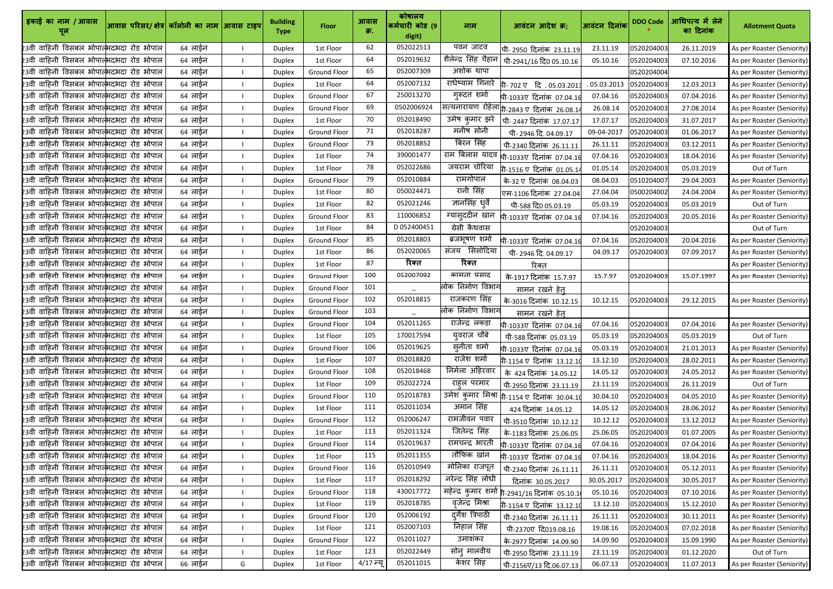| इकाई का नाम / आवास                                          | आवास परिसर/ क्षेत्र  कॉलोनी का नाम  आवास टाइप |         |   | <b>Building</b><br><b>Type</b> | <b>Floor</b>        | आवास<br>क्र. | कोषालय<br>कर्मचारी कोड (9<br>digit) | नाम                     | आवंटन आदेश क्र;                                       | आवंटन दिनांक | <b>DDO Code</b> | आधिपत्य में लेने<br>का दिनांक | <b>Allotment Quota</b>     |
|-------------------------------------------------------------|-----------------------------------------------|---------|---|--------------------------------|---------------------|--------------|-------------------------------------|-------------------------|-------------------------------------------------------|--------------|-----------------|-------------------------------|----------------------------|
| 23वी वाहिनी विसबल भोपाल्भदभदा रोड भोपाल                     |                                               | 64 लाईन |   | <b>Duplex</b>                  | 1st Floor           | 62           | 052022513                           | पवन जाटव                | पी- 2950 दिनांक 23.11.19                              | 23.11.19     | 0520204003      | 26.11.2019                    | As per Roaster (Seniority) |
| 23वी वाहिनी विसबल भोपाल्भदभदा रोड भोपाल                     |                                               | 64 लाईन |   | <b>Duplex</b>                  | 1st Floor           | 64           | 052019632                           | शैलेन्द्र सिंह चैहान    | पी-2941/16 दि0 05.10.16                               | 05.10.16     | 0520204003      | 07.10.2016                    | As per Roaster (Seniority) |
| 23वी वाहिनी विसबल भोपात् <mark>भ</mark> दभदा रोड भोपाल      |                                               | 64 लाईन |   | <b>Duplex</b>                  | <b>Ground Floor</b> | 65           | 052007309                           | अशोक थापा               |                                                       |              | 0520204004      |                               | As per Roaster (Seniority) |
| 23वी वाहिनी विसबल भोपात्भदभदा रोड भोपाल                     |                                               | 64 लाईन |   | <b>Duplex</b>                  | 1st Floor           | 64           | 052007132                           | राधेष्याम गिनारे        | <b>ो- 702 एवि. 05.03.201</b> 3                        | .05.03.2013  | 0520204003      | 12.03.2013                    | As per Roaster (Seniority) |
| 23वी वाहिनी विसबल भोपात्भदभदा रोड भोपाल                     |                                               | 64 लाईन |   | <b>Duplex</b>                  | <b>Ground Floor</b> | 67           | 250013270                           | गुरूदत्त शर्मा          | पी-1033ए दिनांक 07.04.16                              | 07.04.16     | 0520204003      | 07.04.2016                    | As per Roaster (Seniority) |
| 23वी वाहिनी विसबल भोपात्भदभदा रोड भोपाल                     |                                               | 64 लाईन |   | <b>Duplex</b>                  | <b>Ground Floor</b> | 69           | 0502006924                          |                         | सत्यनारायण रोहेला <sub>गि-2843 ए दिनांक 26.08.1</sub> | 26.08.14     | 0520204003      | 27.08.2014                    | As per Roaster (Seniority) |
| 23वी वाहिनी विसबल भोपात् <mark>भ</mark> दभदा रोड भोपाल      |                                               | 64 लाईन |   | <b>Duplex</b>                  | 1st Floor           | 70           | 052018490                           | उमेष कुमार झरे          | पी-2447 दिनांक 17.07.17                               | 17.07.17     | 0520204003      | 31.07.2017                    | As per Roaster (Seniority) |
| 23वी वाहिनी विसबल भोपात्भदभदा रोड भोपाल                     |                                               | 64 लाईन |   | <b>Duplex</b>                  | <b>Ground Floor</b> | 71           | 052018287                           | मनीष सोनी               | पी- 2946 दि. 04.09.17                                 | 09-04-2017   | 0520204003      | 01.06.2017                    | As per Roaster (Seniority) |
| .<br>23वी वाहिनी विसबल भोपात् <mark>भ</mark> दभदा रोड भोपाल |                                               | 64 लाईन |   | <b>Duplex</b>                  | <b>Ground Floor</b> | 73           | 052018852                           | बिरन सिंह               | पी-2340 दिनांक 26.11.11                               | 26.11.11     | 0520204003      | 03.12.2011                    | As per Roaster (Seniority) |
| 23वी वाहिनी विसबल भोपाल्भदभदा रोड भोपाल                     |                                               | 64 लाईन |   | <b>Duplex</b>                  | 1st Floor           | 74           | 390001477                           | राम बिलास यादव          | पी-1033ए दिनांक 07.04.16                              | 07.04.16     | 0520204003      | 18.04.2016                    | As per Roaster (Seniority) |
| 23वी वाहिनी विसबल भोपात् <mark>भ</mark> दभदा रोड भोपाल      |                                               | 64 लाईन |   | <b>Duplex</b>                  | 1st Floor           | 78           | 052022686                           | जयराम चोरिया            | .<br>गे-1516 ए दिनांक 01.05.14                        | 01.05.14     | 0520204003      | 05.03.2019                    | Out of Turn                |
| 23वी वाहिनी विसबल भोपात्भदभदा रोड भोपाल                     |                                               | 64 लाईन |   | Duplex                         | <b>Ground Floor</b> | 79           | 052010884                           | रामगोपाल                | के-32 ए दिनांक 08.04.03                               | 08.04.03     | 0510204007      | 29.04.2003                    | As per Roaster (Seniority) |
| 23वी वाहिनी विसबल भोपात्भदभदा रोड भोपाल                     |                                               | 64 लाईन |   | Duplex                         | 1st Floor           | 80           | 050024471                           | रानी सिंह               | एम-1106 दिनांक  27.04.04                              | 27.04.04     | 0500204002      | 24.04.2004                    | As per Roaster (Seniority) |
| 23वी वाहिनी विसबल भोपात् <mark>भ</mark> दभदा रोड भोपाल      |                                               | 64 लाईन |   | <b>Duplex</b>                  | 1st Floor           | 82           | 052021246                           | ज्ञानसिंह धुर्वे        | ਧੀ-588 दि0 05.03.19                                   | 05.03.19     | 0520204003      | 05.03.2019                    | Out of Turn                |
| 23वी वाहिनी विसबल भोपात्भदभदा रोड भोपाल                     |                                               | 64 लाईन |   | <b>Duplex</b>                  | <b>Ground Floor</b> | 83           | 110006852                           | ग्यास् <b>ददीन खा</b> न | पी-1033ए दिनांक 07.04.1।                              | 07.04.16     | 0520204003      | 20.05.2016                    | As per Roaster (Seniority) |
| 23वी वाहिनी विसबल भोपात् <mark>भ</mark> दभदा रोड भोपाल      |                                               | 64 लाईन |   | <b>Duplex</b>                  | 1st Floor           | 84           | D052400451                          | ग्रेसी कैथवास           |                                                       |              | 0520204003      |                               | Out of Turn                |
| 23वी वाहिनी विसबल भोपाल्भदभदा रोड भोपाल                     |                                               | 64 लाईन |   | <b>Duplex</b>                  | <b>Ground Floor</b> | 85           | 052018803                           | ब्रजभूषण शर्मा          | पी-1033ए दिनांक 07.04.16                              | 07.04.16     | 0520204003      | 20.04.2016                    | As per Roaster (Seniority) |
| 23वी वाहिनी विसबल भोपात् <mark>भ</mark> दभदा रोड भोपाल      |                                               | 64 लाईन |   | <b>Duplex</b>                  | 1st Floor           | 86           | 052020065                           | संजय सिसोदिया           | पी- 2946 दि. 04.09.17                                 | 04.09.17     | 0520204003      | 07.09.2017                    | As per Roaster (Seniority) |
| 23वी वाहिनी विसबल भोपात् <mark>भ</mark> दभदा रोड भोपाल      |                                               | 64 लाईन |   | <b>Duplex</b>                  | 1st Floor           | 87           | रिक्त                               | रिक्त                   | रिक्त                                                 |              |                 |                               | As per Roaster (Seniority) |
| 23वी वाहिनी विसबल भोपात्भदभदा रोड भोपाल                     |                                               | 64 लाईन |   | <b>Duplex</b>                  | <b>Ground Floor</b> | 100          | 052007092                           | कामता प्रसाद            | के-1917 दिनांक 15.7.97                                | 15.7.97      | 0520204003      | 15.07.1997                    | As per Roaster (Seniority) |
| 23वी वाहिनी विसबल भोपात् <mark>भ</mark> दभदा रोड भोपाल      |                                               | 64 लाईन |   | <b>Duplex</b>                  | <b>Ground Floor</b> | 101          |                                     | लोक निर्माण विभाग       | सामन रखने हेत्                                        |              |                 |                               |                            |
| 23वी वाहिनी विसबल भोपात्भदभदा रोड भोपाल                     |                                               | 64 लाईन |   | <b>Duplex</b>                  | <b>Ground Floor</b> | 102          | 052018815                           | राजकरण सिंह             | के-3016 दिनांक 10.12.15                               | 10.12.15     | 0520204003      | 29.12.2015                    | As per Roaster (Seniority) |
| 23वी वाहिनी विसबल भोपात् <mark>भ</mark> दभदा रोड भोपाल      |                                               | 64 लाईन |   | <b>Duplex</b>                  | <b>Ground Floor</b> | 103          |                                     | लोक निर्माण विभाग       | सामन रखने हेत्                                        |              |                 |                               |                            |
| 23वी वाहिनी विसबल भोपाल्भदभदा रोड भोपाल                     |                                               | 64 लाईन |   | <b>Duplex</b>                  | Ground Floor        | 104          | 052011265                           | राजेन्द्र लकड़ा         | पी-1033ए दिनांक 07.04.16                              | 07.04.16     | 0520204003      | 07.04.2016                    | As per Roaster (Seniority) |
| 23वी वाहिनी विसबल भोपाल्भदभदा रोड भोपाल                     |                                               | 64 लाईन |   | <b>Duplex</b>                  | 1st Floor           | 105          | 170017594                           | युवराज चौबे             | पी-588 दिनांक 05.03.19                                | 05.03.19     | 0520204003      | 05.03.2019                    | Out of Turn                |
| 23वी वाहिनी विसबल भोपात्भदभदा रोड भोपाल                     |                                               | 64 लाईन |   | <b>Duplex</b>                  | <b>Ground Floor</b> | 106          | 052019625                           | सूनीता शर्मा            | पी-1033ए दिनांक 07.04.16                              | 05.03.19     | 0520204003      | 21.01.2013                    | As per Roaster (Seniority) |
| 23वी वाहिनी विसबल भोपात्भदभदा रोड भोपाल                     |                                               | 64 लाईन |   | <b>Duplex</b>                  | 1st Floor           | 107          | 052018820                           | राजेश शर्मा             | गी-1154 ए दिनांक 13.12.1                              | 13.12.10     | 0520204003      | 28.02.2011                    | As per Roaster (Seniority) |
| 23वी वाहिनी विसबल भोपात् <mark>भ</mark> दभदा रोड भोपाल      |                                               | 64 लाईन |   | <b>Duplex</b>                  | <b>Ground Floor</b> | 108          | 052018468                           | निर्मला अहिरवार         | के 424 दिनांक 14.05.12                                | 14.05.12     | 0520204003      | 24.05.2012                    | As per Roaster (Seniority) |
| 23वी वाहिनी विसबल भोपात्भदभदा रोड भोपाल                     |                                               | 64 लाईन |   | <b>Duplex</b>                  | 1st Floor           | 109          | 052022724                           | राहल परमार              | पी-2950 दिनांक 23.11.19                               | 23.11.19     | 0520204003      | 26.11.2019                    | Out of Turn                |
| 23वी वाहिनी विसबल भोपात्भदभदा रोड भोपाल                     |                                               | 64 लाईन |   | <b>Duplex</b>                  | <b>Ground Floor</b> | 110          | 052018783                           |                         | उमेश कुमार मिश्रा n-1154 ए दिनांक 30.04.1¢            | 30.04.10     | 0520204003      | 04.05.2010                    | As per Roaster (Seniority) |
| 23वी वाहिनी विसबल भोपाल्भदभदा रोड भोपाल                     |                                               | 64 लाईन |   | <b>Duplex</b>                  | 1st Floor           | 111          | 052011034                           | अमान सिंह               | 424 दिनांक 14.05.12                                   | 14.05.12     | 0520204003      | 28.06.2012                    | As per Roaster (Seniority) |
| 23वी वाहिनी विसबल भोपात्भदभदा रोड भोपाल                     |                                               | 64 लाईन |   | <b>Duplex</b>                  | <b>Ground Floor</b> | 112          | 052006247                           | रामजीवन पवार            | पी-3510 दिनांक 10.12.12                               | 10.12.12     | 0520204003      | 13.12.2012                    | As per Roaster (Seniority) |
| 23वी वाहिनी विसबल भोपात्भदभदा रोड भोपाल                     |                                               | 64 लाईन |   | <b>Duplex</b>                  | 1st Floor           | 113          | 052011324                           | जितेन्द्र सिंह          | के-1183 दिनांक 25.06.05                               | 25.06.05     | 0520204003      | 01.07.2005                    | As per Roaster (Seniority) |
| 23वी वाहिनी विसबल भोपात्भदभदा रोड भोपाल                     |                                               | 64 लाईन |   | <b>Duplex</b>                  | <b>Ground Floor</b> | 114          | 052019637                           | रामचन्द्र भारती         | पी-1033ए दिनांक 07.04.16                              | 07.04.16     | 0520204003      | 07.04.2016                    | As per Roaster (Seniority) |
| 23वी वाहिनी विसबल भोपात्भदभदा रोड भोपाल                     |                                               | 64 लाईन |   | <b>Duplex</b>                  | 1st Floor           | 115          | 052011355                           | तौफिक खांन              | पी-1033ए दिनांक 07.04.16                              | 07.04.16     | 0520204003      | 18.04.2016                    | As per Roaster (Seniority) |
| 23वी वाहिनी विसबल भोपाल्भदभदा रोड भोपाल                     |                                               | 64 लाईन |   | <b>Duplex</b>                  | <b>Ground Floor</b> | 116          | 052010949                           | मोनिका राजपूत           | पी-2340 दिनांक 26.11.11                               | 26.11.11     | 0520204003      | 05.12.2011                    | As per Roaster (Seniority) |
| 23वी वाहिनी विसबल भोपात्भदभदा रोड भोपाल                     |                                               | 64 लाईन |   | <b>Duplex</b>                  | 1st Floor           | 117          | 052018292                           | नरेन्द्र सिंह लोधी      | दिनांक 30.05.2017                                     | 30.05.2017   | 0520204003      | 30.05.2017                    | As per Roaster (Seniority) |
| 23वी वाहिनी विसबल भोपाल्भदभदा रोड भोपाल                     |                                               | 64 लाईन |   | <b>Duplex</b>                  | <b>Ground Floor</b> | 118          | 430017772                           | महेन्द्र कुमार शर्मा    | <b>री-2941/16 दिनांक 05.10.1</b>                      | 05.10.16     | 0520204003      | 07.10.2016                    | As per Roaster (Seniority) |
| 23वी वाहिनी विसबल भोपात्भदभदा रोड भोपाल                     |                                               | 64 लाईन |   | <b>Duplex</b>                  | 1st Floor           | 119          | 052018785                           | वृजेन्द्र मिश्रा        | गी-1154 ए दिनांक 13.12.1                              | 13.12.10     | 0520204003      | 15.12.2010                    | As per Roaster (Seniority) |
| 23वी वाहिनी विसबल भोपात्भदभदा रोड भोपाल                     |                                               | 64 लाईन |   | <b>Duplex</b>                  | <b>Ground Floor</b> | 120          | 052006192                           | दुर्गेश त्रिपाठी        | पी-2340 दिनांक 26.11.11                               | 26.11.11     | 0520204003      | 30.11.2011                    | As per Roaster (Seniority) |
| 23वी वाहिनी विसबल भोपात्भदभदा रोड भोपाल                     |                                               | 64 लाईन |   | <b>Duplex</b>                  | 1st Floor           | 121          | 052007103                           | निहाल सिंह              | पी-2370ए दि019.08.16                                  | 19.08.16     | 0520204003      | 07.02.2018                    | As per Roaster (Seniority) |
| 23वी वाहिनी विसबल भोपात्भदभदा रोड भोपाल                     |                                               | 64 लाईन |   | <b>Duplex</b>                  | <b>Ground Floor</b> | 122          | 052011027                           | उमाशंकर                 | के-2977 दिनांक 14.09.90                               | 14.09.90     | 0520204003      | 15.09.1990                    | As per Roaster (Seniority) |
| 23वी वाहिनी विसबल भोपात्भदभदा रोड भोपाल                     |                                               | 64 लाईन |   | <b>Duplex</b>                  | 1st Floor           | 123          | 052022449                           | सोनु मालवीय             | पी-2950 दिनांक 23.11.19                               | 23.11.19     | 0520204003      | 01.12.2020                    | Out of Turn                |
| 23वी वाहिनी विसबल भोपाल् <mark>भदभदा रोड भोपाल</mark>       |                                               | 66 लाईन | G | Duplex                         | 1st Floor           | 4/17 न्यू    | 052011015                           | केशर सिंह               | पी-2156ए/13 दि.06.07.13                               | 06.07.13     | 0520204003      | 11.07.2013                    | As per Roaster (Seniority) |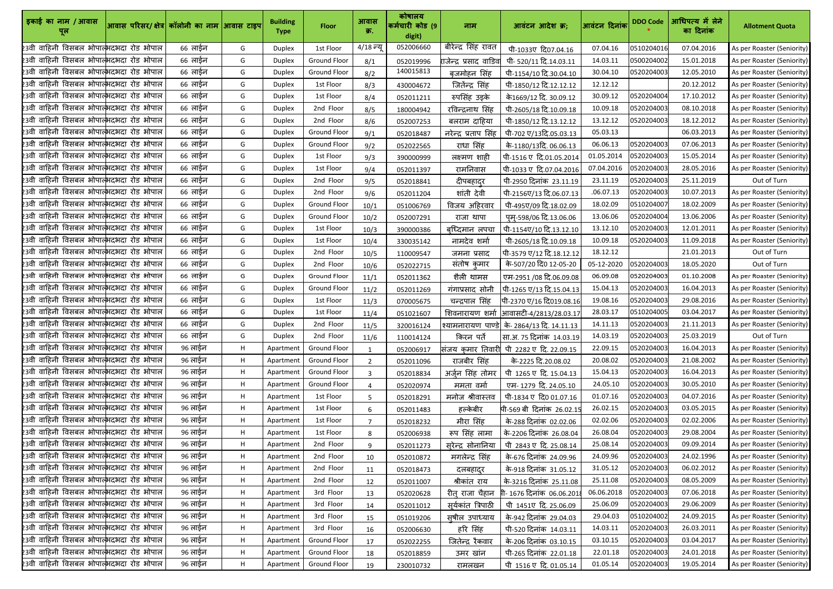| इकाई का नाम / आवास<br>पूल                                   | आवास परिसर/ क्षेत्र  कॉलोनी का नाम आिवास टाइप |         |    | <b>Building</b><br><b>Type</b> | <b>Floor</b>        | आवास<br>क्र.   | कोषालय<br>कर्मचारी कोड (9<br>digit) | नाम                      | आवंटन आदेश क्र;                            | आवंटन दिनांक | <b>DDO Code</b> | आधिपत्य में लेने<br>का दिनांक | <b>Allotment Quota</b>     |
|-------------------------------------------------------------|-----------------------------------------------|---------|----|--------------------------------|---------------------|----------------|-------------------------------------|--------------------------|--------------------------------------------|--------------|-----------------|-------------------------------|----------------------------|
| 23वी वाहिनी विसबल भोपात् <mark>भ</mark> दभदा रोड भोपाल      |                                               | 66 लाईन | G  | <b>Duplex</b>                  | 1st Floor           | 4/18 न्यू      | 052006660                           | बीरेन्द्र सिंह रावत      | पी-1033ए दि07.04.16                        | 07.04.16     | 0510204016      | 07.04.2016                    | As per Roaster (Seniority) |
| 23वी वाहिनी विसबल भोपात्भदभदा रोड भोपाल                     |                                               | 66 लाईन | G  | Duplex                         | <b>Ground Floor</b> | 8/1            | 052019996                           | राजेन्द्र प्रसाद वाडिव   | पी- 520/11 दि.14.03.11                     | 14.03.11     | 0500204002      | 15.01.2018                    | As per Roaster (Seniority) |
| 23वी वाहिनी विसबल भोपात् <mark>भ</mark> दभदा रोड भोपाल      |                                               | 66 लाईन | G  | Duplex                         | <b>Ground Floor</b> | 8/2            | 140015813                           | बृजमोहन सिंह             | पी-1154/10 दि.30.04.10                     | 30.04.10     | 0520204003      | 12.05.2010                    | As per Roaster (Seniority) |
| 23वी वाहिनी विसबल भोपात्भदभदा रोड भोपाल                     |                                               | 66 लाईन | G  | <b>Duplex</b>                  | 1st Floor           | 8/3            | 430004672                           | जितेंन्द्र सिंह          | पी-1850/12 दि.12.12.12                     | 12.12.12     |                 | 20.12.2012                    | As per Roaster (Seniority) |
| 23वी वाहिनी विसबल भोपात्भदभदा रोड भोपाल                     |                                               | 66 लाईन | G  | <b>Duplex</b>                  | 1st Floor           | 8/4            | 052011211                           | रुपसिंह उइके             | के 1669/12 दि. 30.09.12                    | 30.09.12     | 0520204004      | 17.10.2012                    | As per Roaster (Seniority) |
| 23वी वाहिनी विसबल भोपात्भदभदा रोड भोपाल                     |                                               | 66 लाईन | G  | <b>Duplex</b>                  | 2nd Floor           | 8/5            | 180004942                           | रविन्द्रनाथ सिंह         | पी-2605/18 दि.10.09.18                     | 10.09.18     | 0520204003      | 08.10.2018                    | As per Roaster (Seniority) |
| 23वी वाहिनी विसबल भोपात्भदभदा रोड भोपाल                     |                                               | 66 लाईन | G  | Duplex                         | 2nd Floor           | 8/6            | 052007253                           | बलराम दाहिया             | पी-1850/12 दि.13.12.12                     | 13.12.12     | 0520204003      | 18.12.2012                    | As per Roaster (Seniority) |
| 23वी वाहिनी विसबल भोपात्भदभदा रोड भोपाल                     |                                               | 66 लाईन | G  | Duplex                         | <b>Ground Floor</b> | 9/1            | 052018487                           | नरेन्द्र प्रताप सिंह     | पी-702 ए/13दि.05.03.13                     | 05.03.13     |                 | 06.03.2013                    | As per Roaster (Seniority) |
| 23वी वाहिनी विसबल भोपात्भदभदा रोड भोपाल                     |                                               | 66 लाईन | G  | Duplex                         | <b>Ground Floor</b> | 9/2            | 052022565                           | राधा सिंह                | के-1180/13दि. 06.06.13                     | 06.06.13     | 0520204003      | 07.06.2013                    | As per Roaster (Seniority) |
| 23वी वाहिनी विसबल भोपात्भदभदा रोड भोपाल                     |                                               | 66 लाईन | G  | <b>Duplex</b>                  | 1st Floor           | 9/3            | 390000999                           | लक्ष्मण शाही             | पी-1516 ए दि.01.05.2014                    | 01.05.2014   | 0520204003      | 15.05.2014                    | As per Roaster (Seniority) |
| 23वी वाहिनी विसबल भोपात्भदभदा रोड भोपाल                     |                                               | 66 लाईन | G  | <b>Duplex</b>                  | 1st Floor           | 9/4            | 052011397                           | रामनिवास                 | पी-1033 ए दि.07.04.2016                    | 07.04.2016   | 0520204003      | 28.05.2016                    | As per Roaster (Seniority) |
| 23वी वाहिनी विसबल भोपात्भदभदा रोड भोपाल                     |                                               | 66 लाईन | G  | Duplex                         | 2nd Floor           | 9/5            | 052018841                           | दीपबहादुर                | पी-2950 दिनांक 23.11.19                    | 23.11.19     | 0520204003      | 25.11.2019                    | Out of Turn                |
| 23वी वाहिनी विसबल भोपात्भदभदा रोड भोपाल                     |                                               | 66 लाईन | G  | <b>Duplex</b>                  | 2nd Floor           | 9/6            | 052011204                           | शांती देवी               | पी-2156ए/13 दि.06.07.13                    | .06.07.13    | 0520204003      | 10.07.2013                    | As per Roaster (Seniority) |
| 23वी वाहिनी विसबल भोपात्भदभदा रोड भोपाल                     |                                               | 66 लाईन | G  | Duplex                         | <b>Ground Floor</b> | 10/1           | 051006769                           | विजय अहिरवार             | पी-495ए/09 दि.18.02.09                     | 18.02.09     | 0510204007      | 18.02.2009                    | As per Roaster (Seniority) |
| 23वी वाहिनी विसबल भोपात्भदभदा रोड भोपाल                     |                                               | 66 लाईन | G  | Duplex                         | Ground Floor        | 10/2           | 052007291                           | राजा थापा                | पुम्-598/06 दि.13.06.06                    | 13.06.06     | 0520204004      | 13.06.2006                    | As per Roaster (Seniority) |
| 23वी वाहिनी विसबल भोपात्भदभदा रोड भोपाल                     |                                               | 66 लाईन | G  | <b>Duplex</b>                  | 1st Floor           | 10/3           | 390000386                           | बृध्दिमान लपचा           | पी-1154ए/10 दि.13.12.10                    | 13.12.10     | 0520204003      | 12.01.2011                    | As per Roaster (Seniority) |
| 23वी वाहिनी विसबल भोपात्भदभदा रोड भोपाल                     |                                               | 66 लाईन | G  | <b>Duplex</b>                  | 1st Floor           | 10/4           | 330035142                           | नामदेव शर्मा             | पी-2605/18 दि.10.09.18                     | 10.09.18     | 0520204003      | 11.09.2018                    | As per Roaster (Seniority) |
| 23वी वाहिनी विसबल भोपात्भदभदा रोड भोपाल                     |                                               | 66 लाईन | G  | Duplex                         | 2nd Floor           | 10/5           | 110009547                           | जमना प्रसाद              | पी-3579 ए/12 दि.18.12.12                   | 18.12.12     |                 | 21.01.2013                    | Out of Turn                |
| 23वी वाहिनी विसबल भोपात्भदभदा रोड भोपाल                     |                                               | 66 लाईन | G  | <b>Duplex</b>                  | 2nd Floor           | 10/6           | 052022715                           | संतोष कुमार              | के-507/20 दि0 12-05-20                     | 05-12-2020   | 0520204003      | 18.05.2020                    | Out of Turn                |
| 23वी वाहिनी विसबल भोपात्भदभदा रोड भोपाल                     |                                               | 66 लाईन | G  | Duplex                         | Ground Floor        | 11/1           | 052011362                           | शैली थामस                | एम-2951 /08 दि.06.09.08                    | 06.09.08     | 0520204003      | 01.10.2008                    | As per Roaster (Seniority) |
| 23वी वाहिनी विसबल भोपात्भदभदा रोड भोपाल                     |                                               | 66 लाईन | G  | Duplex                         | <b>Ground Floor</b> | 11/2           | 052011269                           | गंगाप्रसाद सोनी          | पी-1265 ए/13 दि.15.04.13                   | 15.04.13     | 0520204003      | 16.04.2013                    | As per Roaster (Seniority) |
| 23वी वाहिनी विसबल भोपात्भदभदा रोड भोपाल                     |                                               | 66 लाईन | G  | <b>Duplex</b>                  | 1st Floor           | 11/3           | 070005675                           | चन्द्रपाल सिंह           | पी-2370 ए/16 दि019.08.16                   | 19.08.16     | 0520204003      | 29.08.2016                    | As per Roaster (Seniority) |
| .<br>23वी वाहिनी विसबल भोपात् <mark>भ</mark> दभदा रोड भोपाल |                                               | 66 लाईन | G  | Duplex                         | 1st Floor           | 11/4           | 051021607                           |                          | शिवनारायण शर्मा आिवासटी-4/2813/28.03.17    | 28.03.17     | 0510204005      | 03.04.2017                    | As per Roaster (Seniority) |
| 23वी वाहिनी विसबल भोपाल्भदभदा रोड भोपाल                     |                                               | 66 लाईन | G  | <b>Duplex</b>                  | 2nd Floor           | 11/5           | 320016124                           |                          | श्यामनारायण पाण्डे के-2864/13 दि. 14.11.13 | 14.11.13     | 0520204003      | 21.11.2013                    | As per Roaster (Seniority) |
| 23वी वाहिनी विसबल भोपात् <mark>भ</mark> दभदा रोड भोपाल      |                                               | 66 लाईन | G  | <b>Duplex</b>                  | 2nd Floor           | 11/6           | 110014124                           | किरन पर्ते               | सा.अ. 75 दिनांक 14.03.19                   | 14.03.19     | 0520204003      | 25.03.2019                    | Out of Turn                |
| 23वी वाहिनी विसबल भोपात्भदभदा रोड भोपाल                     |                                               | 96 लाईन | H. | Apartment                      | <b>Ground Floor</b> | $\mathbf{1}$   | 052006917                           | संजय कुमार तिवारी        | पी 2282 ए दि. 22.09.15                     | 22.09.15     | 0520204003      | 16.04.2013                    | As per Roaster (Seniority) |
| 23वी वाहिनी विसबल भोपात्भदभदा रोड भोपाल                     |                                               | 96 लाईन | H. | Apartment                      | <b>Ground Floor</b> | $2^{\circ}$    | 052011096                           | राजबीर सिंह              | के-2225 दि.20.08.02                        | 20.08.02     | 0520204003      | 21.08.2002                    | As per Roaster (Seniority) |
| 23वी वाहिनी विसबल भोपात्भदभदा रोड भोपाल                     |                                               | 96 लाईन | Η. | Apartment                      | <b>Ground Floor</b> | 3              | 052018834                           | अर्जुन सिंह तोमर         | पी 1265 ए दि. 15.04.13                     | 15.04.13     | 0520204003      | 16.04.2013                    | As per Roaster (Seniority) |
| 23वी वाहिनी विसबल भोपात् <mark>भ</mark> दभदा रोड भोपाल      |                                               | 96 लाईन | H. | Apartment                      | <b>Ground Floor</b> |                | 052020974                           | ममता वर्मा               | एम-1279 दि. 24.05.10                       | 24.05.10     | 0520204003      | 30.05.2010                    | As per Roaster (Seniority) |
| 23वी वाहिनी विसबल भोपात् <mark>भ</mark> दभदा रोड भोपाल      |                                               | 96 लाईन | H. | Apartment                      | 1st Floor           | 5              | 052018291                           | मनोज श्रीवास्तव          | पी-1834 ए दि0 01.07.16                     | 01.07.16     | 0520204003      | 04.07.2016                    | As per Roaster (Seniority) |
| 23वी वाहिनी विसबल भोपात् <mark>भ</mark> दभदा रोड भोपाल      |                                               | 96 लाईन | H. | Apartment                      | 1st Floor           | 6              | 052011483                           | हल्केबीर                 | पी-569 बी दिनांक 26.02.15                  | 26.02.15     | 0520204003      | 03.05.2015                    | As per Roaster (Seniority) |
| 23वी वाहिनी विसबल भोपात् <mark>भ</mark> दभदा रोड भोपाल      |                                               | 96 लाईन | Н. | Apartment                      | 1st Floor           | $\overline{7}$ | 052018232                           | मीरा सिंह                | के-288 दिनांक 02.02.06                     | 02.02.06     | 0520204003      | 02.02.2006                    | As per Roaster (Seniority) |
| 23वी वाहिनी विसबल भोपात्भदभदा रोड भोपाल                     |                                               | 96 लाईन | Н. | Apartment                      | 1st Floor           | 8              | 052006938                           | रूप सिंह लामा            | के-2206 दिनांक 26.08.04                    | 26.08.04     | 0520204003      | 29.08.2004                    | As per Roaster (Seniority) |
| 23वी वाहिनी विसबल भोपात्भदभदा रोड भोपाल                     |                                               | 96 लाईन | Η. | Apartment                      | 2nd Floor           | 9              | 052011273                           | सुरेन्द्र सोनानिया       | पी 2843 ए दि. 25.08.14                     | 25.08.14     | 0520204003      | 09.09.2014                    | As per Roaster (Seniority) |
| 23वी वाहिनी विसबल भोपात्भदभदा रोड भोपाल                     |                                               | 96 लाईन | Η. | Apartment                      | 2nd Floor           | 10             | 052010872                           | मगलेन्द्र सिंह           | के-676 दिनांक  24.09.96                    | 24.09.96     | 0520204003      | 24.02.1996                    | As per Roaster (Seniority) |
| 23वी वाहिनी विसबल भोपात्भदभदा रोड भोपाल                     |                                               | 96 लाईन | Η. | Apartment                      | 2nd Floor           | 11             | 052018473                           | दलबहादुर                 | के-918 दिनांक 31.05.12                     | 31.05.12     | 0520204003      | 06.02.2012                    | As per Roaster (Seniority) |
| 23वी वाहिनी विसबल भोपात्भदभदा रोड भोपाल                     |                                               | 96 लाईन | н  | Apartment                      | 2nd Floor           | 12             | 052011007                           | श्रीकांत राय             | के-3216 दिनांक 25.11.08                    | 25.11.08     | 0520204003      | 08.05.2009                    | As per Roaster (Seniority) |
| 23वी वाहिनी विसबल भोपात् <mark>भ</mark> दभदा रोड भोपाल      |                                               | 96 लाईन | H. | Apartment                      | 3rd Floor           | 13             | 052020628                           | रीत् राजा चैहान          | गी- 1676 दिनांक 06.06.201                  | 06.06.2018   | 0520204003      | 07.06.2018                    | As per Roaster (Seniority) |
| 23वी वाहिनी विसबल भोपात् <mark>भ</mark> दभदा रोड भोपाल      |                                               | 96 लाईन | Н. | Apartment                      | 3rd Floor           | 14             | 052011012                           | सूर्यकांत त्रिपाठी       | पी 1451ए दि. 25.06.09                      | 25.06.09     | 0520204003      | 29.06.2009                    | As per Roaster (Seniority) |
| 23वी वाहिनी विसबल भोपात् <mark>भ</mark> दभदा रोड भोपाल      |                                               | 96 लाईन | H. | Apartment                      | 3rd Floor           | 15             | 051019206                           | सूषील उपाध्याय           | के-942 दिनांक 29.04.03                     | 29.04.03     | 0510204002      | 24.09.2015                    | As per Roaster (Seniority) |
| 23वी वाहिनी विसबल भोपात् <mark>भ</mark> दभदा रोड भोपाल      |                                               | 96 लाईन | Η. | Apartment                      | 3rd Floor           | 16             | 052006630                           | हरि सिंह                 | पी-520 दिनांक 14.03.11                     | 14.03.11     | 0520204003      | 26.03.2011                    | As per Roaster (Seniority) |
| 23वी वाहिनी विसबल भोपात्भदभदा रोड भोपाल                     |                                               | 96 लाईन | H. | Apartment                      | Ground Floor        | 17             | 052022255                           | जितेन्द्र रै <u>कवार</u> | के-206 दिनांक 03.10.15                     | 03.10.15     | 0520204003      | 03.04.2017                    | As per Roaster (Seniority) |
| 23वी वाहिनी विसबल भोपात् <mark>भ</mark> दभदा रोड भोपाल      |                                               | 96 लाईन | н  | Apartment                      | <b>Ground Floor</b> | 18             | 052018859                           | उमर खान                  | पी-265 दिनांक 22.01.18                     | 22.01.18     | 0520204003      | 24.01.2018                    | As per Roaster (Seniority) |
| 23वी वाहिनी विसबल भोपात्भदभदा रोड भोपाल                     |                                               | 96 लाईन | Н. | Apartment                      | <b>Ground Floor</b> | 19             | 230010732                           | रामलखन                   | पी 1516 ए दि. 01.05.14                     | 01.05.14     | 0520204003      | 19.05.2014                    | As per Roaster (Seniority) |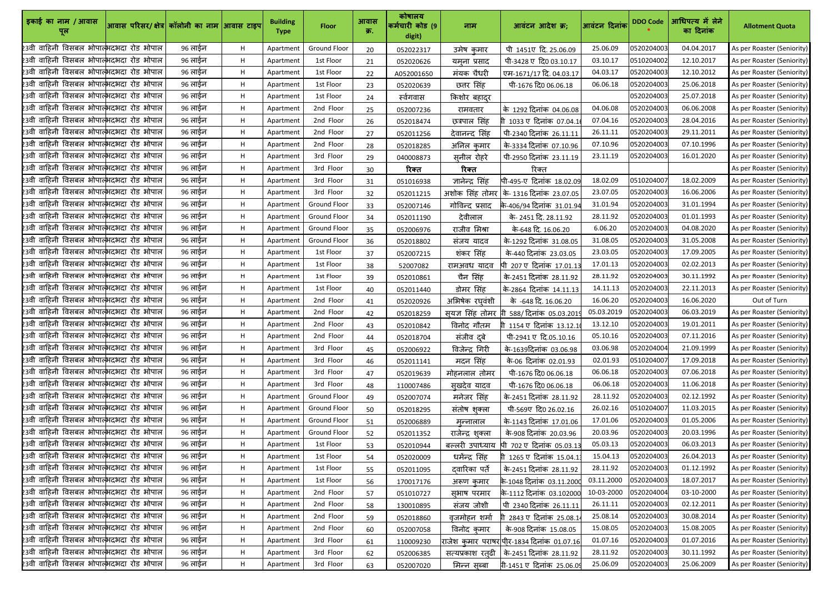| इकाई का नाम / आवास                                     | आवास परिसर/ क्षेत्र कॉलोनी का नाम आवास टाइप |         |             | <b>Building</b><br><b>Type</b> | <b>Floor</b>        | आवास<br>क्र. | कोषालय<br>कर्मचारी कोड (9<br>digit) | नाम                   | आवंटन आदेश क्र;                                  | आवंटन दिनांक | <b>DDO Code</b> | आधिपत्य में लेने<br>का दिनांक | <b>Allotment Quota</b>     |
|--------------------------------------------------------|---------------------------------------------|---------|-------------|--------------------------------|---------------------|--------------|-------------------------------------|-----------------------|--------------------------------------------------|--------------|-----------------|-------------------------------|----------------------------|
| 23वी वाहिनी विसबल भोपात् <mark>भ</mark> दभदा रोड भोपाल |                                             | 96 लाईन | H           | Apartment                      | <b>Ground Floor</b> | 20           | 052022317                           | उमेष कमार             | पी 1451ए दि. 25.06.09                            | 25.06.09     | 0520204003      | 04.04.2017                    | As per Roaster (Seniority) |
| 23वी वाहिनी विसबल भोपात्भदभदा रोड भोपाल                |                                             | 96 लाईन | H           | Apartment                      | 1st Floor           | 21           | 052020626                           | यमृना प्रसाद          | पी-3428 ए दि0 03.10.17                           | 03.10.17     | 0510204002      | 12.10.2017                    | As per Roaster (Seniority) |
| 23वी वाहिनी विसबल भोपात्भदभदा रोड भोपाल                |                                             | 96 लाईन | H           | Apartment                      | 1st Floor           | 22           | A052001650                          | मंयक चैधरी            | एम-1671/17 दि. 04.03.17                          | 04.03.17     | 0520204003      | 12.10.2012                    | As per Roaster (Seniority) |
| 23वी वाहिनी विसबल भोपाल्भदभदा रोड भोपाल                |                                             | 96 लाईन | H           | Apartment                      | 1st Floor           | 23           | 052020639                           | छत्तर सिंह            | पी-1676 दि0 06.06.18                             | 06.06.18     | 0520204003      | 25.06.2018                    | As per Roaster (Seniority) |
| 23वी वाहिनी विसबल भोपात्भदभदा रोड भोपाल                |                                             | 96 लाईन | H           | Apartment                      | 1st Floor           | 24           | स्वेगवास                            | किशोर ब <u>हादुर</u>  |                                                  |              | 0520204003      | 25.07.2018                    | As per Roaster (Seniority) |
| 23वी वाहिनी विसबल भोपात्भदभदा रोड भोपाल                |                                             | 96 लाईन | H           | Apartment                      | 2nd Floor           | 25           | 052007236                           | रामवतार               | के 1292 दिनांक 04.06.08                          | 04.06.08     | 0520204003      | 06.06.2008                    | As per Roaster (Seniority) |
| 23वी वाहिनी विसबल भोपात्भदभदा रोड भोपाल                |                                             | 96 लाईन | H           | Apartment                      | 2nd Floor           | 26           | 052018474                           | छत्रपाल सिंह          | 1033 ए दिनांक 07.04.1                            | 07.04.16     | 0520204003      | 28.04.2016                    | As per Roaster (Seniority) |
| 23वी वाहिनी विसबल भोपात्भदभदा रोड भोपाल                |                                             | 96 लाईन | H           | Apartment                      | 2nd Floor           | 27           | 052011256                           | देवानन्द सिंह         | पी-2340 दिनांक 26.11.11                          | 26.11.11     | 0520204003      | 29.11.2011                    | As per Roaster (Seniority) |
| 23वी वाहिनी विसबल भोपात्भदभदा रोड भोपाल                |                                             | 96 लाईन | H           | Apartment                      | 2nd Floor           | 28           | 052018285                           | अनिल कुमार            | के-3334 दिनांक 07.10.96                          | 07.10.96     | 0520204003      | 07.10.1996                    | As per Roaster (Seniority) |
| 23वी वाहिनी विसबल भोपात् <mark>भ</mark> दभदा रोड भोपाल |                                             | 96 लाईन | H           | Apartment                      | 3rd Floor           | 29           | 040008873                           | सूनील रोहरे           | पी-2950 दिनांक 23.11.19                          | 23.11.19     | 0520204003      | 16.01.2020                    | As per Roaster (Seniority) |
| 23वी वाहिनी विसबल भोपात् <mark>भ</mark> दभदा रोड भोपाल |                                             | 96 लाईन | H           | Apartment                      | 3rd Floor           | 30           | रिक्त                               | रिक्त                 | रिक्त                                            |              |                 |                               | As per Roaster (Seniority) |
| 23वी वाहिनी विसबल भोपात्भदभदा रोड भोपाल                |                                             | 96 लाईन | H           | Apartment                      | 3rd Floor           | 31           | 051016938                           | ज्ञानेन्द्र सिंह      | पी-495-ए दिनांक 18.02.09                         | 18.02.09     | 0510204007      | 18.02.2009                    | As per Roaster (Seniority) |
| 23वी वाहिनी विसबल भोपात्भदभदा रोड भोपाल                |                                             | 96 लाईन | H           | Apartment                      | 3rd Floor           | 32           | 052011215                           |                       | अशोक सिंह तोमर कि- 1316 दिनांक 23.07.05          | 23.07.05     | 0520204003      | 16.06.2006                    | As per Roaster (Seniority) |
| 23वी वाहिनी विसबल भोपात् <mark>भ</mark> दभदा रोड भोपाल |                                             | 96 लाईन | H           | Apartment                      | <b>Ground Floor</b> | 33           | 052007146                           | गोविन्द प्रसाद        | के-406/94 दिनांक 31.01.94                        | 31.01.94     | 0520204003      | 31.01.1994                    | As per Roaster (Seniority) |
| 23वी वाहिनी विसबल भोपात्भदभदा रोड भोपाल                |                                             | 96 लाईन | H           | Apartment                      | <b>Ground Floor</b> | 34           | 052011190                           | देवीलाल               | के- 2451 दि. 28.11.92                            | 28.11.92     | 0520204003      | 01.01.1993                    | As per Roaster (Seniority) |
| 23वी वाहिनी विसबल भोपात्भदभदा रोड भोपाल                |                                             | 96 लाईन | H           | Apartment                      | <b>Ground Floor</b> | 35           | 052006976                           | राजीव मिश्रा          | के-648 दि. 16.06.20                              | 6.06.20      | 0520204003      | 04.08.2020                    | As per Roaster (Seniority) |
| 23वी वाहिनी विसबल भोपात्भदभदा रोड भोपाल                |                                             | 96 लाईन | H.          | Apartment                      | <b>Ground Floor</b> | 36           | 052018802                           | सजय यादव              | के-1292 दिनांक 31.08.05                          | 31.08.05     | 0520204003      | 31.05.2008                    | As per Roaster (Seniority) |
| 23वी वाहिनी विसबल भोपात् <mark>भ</mark> दभदा रोड भोपाल |                                             | 96 लाईन | H           | Apartment                      | 1st Floor           | 37           | 052007215                           | शंकर सिंह             | के-440 दिनांक 23.03.05                           | 23.03.05     | 0520204003      | 17.09.2005                    | As per Roaster (Seniority) |
| 23वी वाहिनी विसबल भोपात्भदभदा रोड भोपाल                |                                             | 96 लाईन | H           | Apartment                      | 1st Floor           | 38           | 52007082                            | रामअवध यादव           | पी 207 ए दिनांक 17.01.13                         | 17.01.13     | 0520204003      | 02.02.2013                    | As per Roaster (Seniority) |
| 23वी वाहिनी विसबल भोपात्भदभदा रोड भोपाल                |                                             | 96 लाईन | H           | Apartment                      | 1st Floor           | 39           | 052010861                           | चैन सिंह              | के-2451 दिनांक 28.11.92                          | 28.11.92     | 0520204003      | 30.11.1992                    | As per Roaster (Seniority) |
| 23वी वाहिनी विसबल भोपात्भदिभदा रोड भोपाल               |                                             | 96 लाईन | H           | Apartment                      | 1st Floor           | 40           | 052011440                           | डोमर सिंह             | के-2864 दिनांक 14.11.13                          | 14.11.13     | 0520204003      | 22.11.2013                    | As per Roaster (Seniority) |
| 23वी वाहिनी विसबल भोपात् <mark>भ</mark> दभदा रोड भोपाल |                                             | 96 लाईन | Н.          | Apartment                      | 2nd Floor           | 41           | 052020926                           | अभिषेक रघवंशी         | के -648 दि. 16.06.20                             | 16.06.20     | 0520204003      | 16.06.2020                    | Out of Turn                |
| 23वी वाहिनी विसबल भोपात् <mark>भ</mark> दभदा रोड भोपाल |                                             | 96 लाईन | $H_{\odot}$ | Apartment                      | 2nd Floor           | 42           | 052018259                           |                       | <u>सूयज्ञ सिंह तोमर गि 588/दिनांक 05.03.2019</u> | 05.03.2019   | 0520204003      | 06.03.2019                    | As per Roaster (Seniority) |
| 23वी वाहिनी विसबल भोपाल् <mark>भदभदा रोड भोपाल</mark>  |                                             | 96 लाईन | H           | Apartment                      | 2nd Floor           | 43           | 052010842                           | विनोद गौतम            | गी 1154 ए दिनांक 13.12.1                         | 13.12.10     | 0520204003      | 19.01.2011                    | As per Roaster (Seniority) |
| 23वी वाहिनी विसबल भोपात्भदिभदा रोड भोपाल               |                                             | 96 लाईन | H           | Apartment                      | 2nd Floor           | 44           | 052018704                           | संजीव दुबे            | पी-2941 ए दि.05.10.16                            | 05.10.16     | 0520204003      | 07.11.2016                    | As per Roaster (Seniority) |
| 23वी वाहिनी विसबल भोपात् <mark>भ</mark> दभदा रोड भोपाल |                                             | 96 लाईन | H           | Apartment                      | 3rd Floor           | 45           | 052006922                           | विजेन्द्र गिरी        | के-1639दिनांक 03.06.98                           | 03.06.98     | 0520204004      | 21.09.1999                    | As per Roaster (Seniority) |
| 23वी वाहिनी विसबल भोपात्भदभदा रोड भोपाल                |                                             | 96 लाईन | H           | Apartment                      | 3rd Floor           | 46           | 052011141                           | मदन सिंह              | के-06 दिनांक 02.01.93                            | 02.01.93     | 0510204007      | 17.09.2018                    | As per Roaster (Seniority) |
| 23वी वाहिनी विसबल भोपात्भदभदा रोड भोपाल                |                                             | 96 लाईन | H           | Apartment                      | 3rd Floor           | 47           | 052019639                           | मोहनलाल तोमर          | पी-1676 दि0 06.06.18                             | 06.06.18     | 0520204003      | 07.06.2018                    | As per Roaster (Seniority) |
| 23वी वाहिनी विसबल भोपात्भदभदा रोड भोपाल                |                                             | 96 लाईन | H           | Apartment                      | 3rd Floor           | 48           | 110007486                           | सुखदेव यादव           | पी-1676 दि0 06.06.18                             | 06.06.18     | 0520204003      | 11.06.2018                    | As per Roaster (Seniority) |
| 23वी वाहिनी विसबल भोपात् <mark>भ</mark> दभदा रोड भोपाल |                                             | 96 लाईन | H           | Apartment                      | <b>Ground Floor</b> | 49           | 052007074                           | मनेजर सिंह            | के-2451 दिनांक 28.11.92                          | 28.11.92     | 0520204003      | 02.12.1992                    | As per Roaster (Seniority) |
| 23वी वाहिनी विसबल भोपात् <mark>भ</mark> दभदा रोड भोपाल |                                             | 96 लाईन | H           | Apartment                      | <b>Ground Floor</b> | 50           | 052018295                           | संतोष शुक्ला          | पी-569ए दि0 26.02.16                             | 26.02.16     | 0510204007      | 11.03.2015                    | As per Roaster (Seniority) |
| 23वी वाहिनी विसबल भोपात् <mark>भ</mark> दभदा रोड भोपाल |                                             | 96 लाईन | H           | Apartment                      | <b>Ground Floor</b> | 51           | 052006889                           | मन्नालाल              | के-1143 दिनांक 17.01.06                          | 17.01.06     | 0520204003      | 01.05.2006                    | As per Roaster (Seniority) |
| 23वी वाहिनी विसबल भोपात् <mark>भ</mark> दभदा रोड भोपाल |                                             | 96 लाईन | H           | Apartment                      | <b>Ground Floor</b> | 52           | 052011352                           | राजेन्द्र शुक्ला      | के-908 दिनांक 20.03.96                           | 20.03.96     | 0520204003      | 20.03.1996                    | As per Roaster (Seniority) |
| 23वी वाहिनी विसबल भोपात्भदभदा रोड भोपाल                |                                             | 96 लाईन | H           | Apartment                      | 1st Floor           | 53           | 052010944                           | बल्लरी उपाध्याय       | पी 702 ए दिनांक 05.03.13                         | 05.03.13     | 0520204003      | 06.03.2013                    | As per Roaster (Seniority) |
| 23वी वाहिनी विसबल भोपात्भदभदा रोड भोपाल                |                                             | 96 लाईन | Н.          | Apartment                      | 1st Floor           | 54           | 052020009                           | धर्मेन्द्र सिंह       | 1265 ए दिनांक 15.04.1                            | 15.04.13     | 0520204003      | 26.04.2013                    | As per Roaster (Seniority) |
| 23वी वाहिनी विसबल भोपात्भदभदा रोड भोपाल                |                                             | 96 लाईन | H.          | Apartment                      | 1st Floor           | 55           | 052011095                           | दवारिका पर्ते         | के-2451 दिनांक 28.11.92                          | 28.11.92     | 0520204003      | 01.12.1992                    | As per Roaster (Seniority) |
| 23वी वाहिनी विसबल भोपात्भदभदा रोड भोपाल                |                                             | 96 लाईन | H           | Apartment                      | 1st Floor           | 56           | 170017176                           | अरूण कमार             | के-1048 दिनांक 03.11.200                         | 03.11.2000   | 0520204003      | 18.07.2017                    | As per Roaster (Seniority) |
| 23वी वाहिनी विसबल भोपात्भदभदा रोड भोपाल                |                                             | 96 लाईन | H           | Apartment                      | 2nd Floor           | 57           | 051010727                           | सुभाष परमार           | के-1112 दिनांक 03.102000                         | 10-03-2000   | 0520204004      | 03-10-2000                    | As per Roaster (Seniority) |
| 23वी वाहिनी विसबल भोपाल्भदभदा रोड भोपाल                |                                             | 96 लाईन | H           | Apartment                      | 2nd Floor           | 58           | 130010895                           | संजय जोशी             | पी 2340 दिनांक 26.11.11                          | 26.11.11     | 0520204003      | 02.12.2011                    | As per Roaster (Seniority) |
| 23वी वाहिनी विसबल भोपात् <mark>भ</mark> दभदा रोड भोपाल |                                             | 96 लाईन | H           | Apartment                      | 2nd Floor           | 59           | 052018860                           | <u>वृजमो</u> हन शर्मा | 2843 ए दिनांक 25.08.1                            | 25.08.14     | 0520204003      | 30.08.2014                    | As per Roaster (Seniority) |
| 23वी वाहिनी विसबल भोपात्भदभदा रोड भोपाल                |                                             | 96 लाईन | H           | Apartment                      | 2nd Floor           | 60           | 052007058                           | विनोद कमार            | के-908 दिनांक 15.08.05                           | 15.08.05     | 0520204003      | 15.08.2005                    | As per Roaster (Seniority) |
| 23वी वाहिनी विसबल भोपात्भदभदा रोड भोपाल                |                                             | 96 लाईन | H           | Apartment                      | 3rd Floor           | 61           | 110009230                           |                       | राजेश कुमार पराषरपीिर-1834 दिनांक 01.07.16       | 01.07.16     | 0520204003      | 01.07.2016                    | As per Roaster (Seniority) |
| 23वी वाहिनी विसबल भोपात्भदभदा रोड भोपाल                |                                             | 96 लाईन | H           | Apartment                      | 3rd Floor           | 62           | 052006385                           | सत्यप्रकाश रत्αी      | कि-2451 दिनांक 28.11.92                          | 28.11.92     | 0520204003      | 30.11.1992                    | As per Roaster (Seniority) |
| 23वी वाहिनी विसबल भोपाल्भदभदा रोड भोपाल                |                                             | 96 लाईन | H           | Apartment                      | 3rd Floor           | 63           | 052007020                           | मिन्न स्ब्बा          | गी-1451 ए दिनांक 25.06.09                        | 25.06.09     | 0520204003      | 25.06.2009                    | As per Roaster (Seniority) |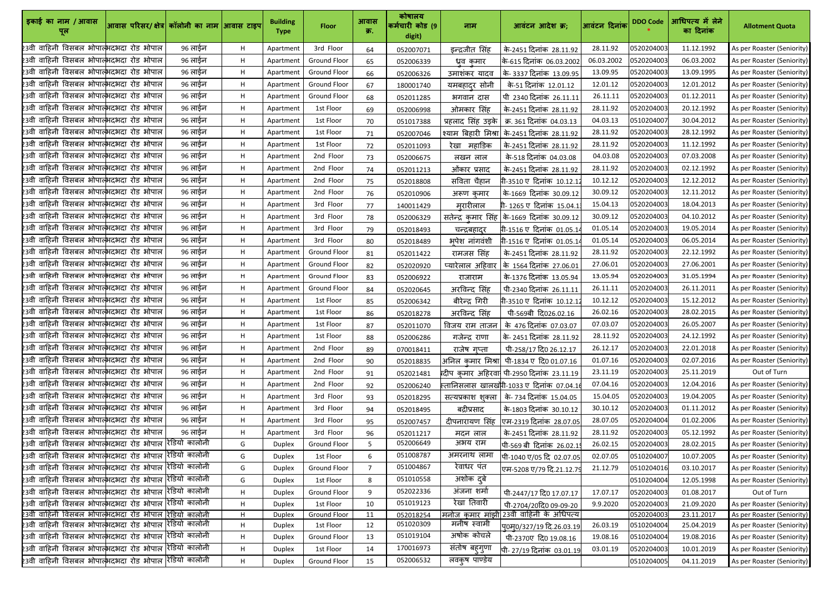| इकाई का नाम / आवास<br>पूल                                                                                                      | आवास परिसर/क्षेत्र  कॉलोनी का नाम आिवास टाइप |         |         | <b>Building</b><br><b>Type</b> | <b>Floor</b>                     | आवास<br>क्र.    | कोषालय<br>कर्मचारी कोड (9<br>digit) | नाम                  | आवंटन आदेश क्र;                                    | आवंटन दिनांक | <b>DDO Code</b>          | आधिपत्य में लेने<br>का दिनांक | <b>Allotment Quota</b>                                   |
|--------------------------------------------------------------------------------------------------------------------------------|----------------------------------------------|---------|---------|--------------------------------|----------------------------------|-----------------|-------------------------------------|----------------------|----------------------------------------------------|--------------|--------------------------|-------------------------------|----------------------------------------------------------|
| 23वी वाहिनी विसबल भोपात्भदभदा रोड भोपाल                                                                                        |                                              | 96 लाईन | H       | Apartmen                       | 3rd Floor                        | 64              | 052007071                           | इन्द्रजीत सिंह       | के-2451 दिनांक 28.11.92                            | 28.11.92     | 0520204003               | 11.12.1992                    | As per Roaster (Seniority)                               |
| 23वी वाहिनी विसबल भोपात्भदभदा रोड भोपाल                                                                                        |                                              | 96 लाईन | Н.      | Apartmen                       | <b>Ground Floor</b>              | 65              | 052006339                           | धव कमार              | कि-615 दिनांक 06.03.2002                           | 06.03.2002   | 0520204003               | 06.03.2002                    | As per Roaster (Seniority)                               |
| 23वी वाहिनी विसबल भोपात्भदभदा रोड भोपाल                                                                                        |                                              | 96 लाईन | Н.      | Apartmen                       | <b>Ground Floor</b>              | 66              | 052006326                           | उमाशंकर यादव         | के-3337 दिनांक 13.09.95                            | 13.09.95     | 0520204003               | 13.09.1995                    | As per Roaster (Seniority)                               |
| 23वी वाहिनी विसबल भोपात्भदभदा रोड भोपाल                                                                                        |                                              | 96 लाईन | H.      | Apartmen                       | <b>Ground Floor</b>              | 67              | 180001740                           | <u>यमबहादुर</u> सोनी | के-51 दिनांक 12.01.12                              | 12.01.12     | 0520204003               | 12.01.2012                    | As per Roaster (Seniority)                               |
| 23वी वाहिनी विसबल भोपात्भदभदा रोड भोपाल                                                                                        |                                              | 96 लाईन | H.      | Apartmen                       | <b>Ground Floor</b>              | 68              | 052011285                           | भगवान दास            | पी 2340 दिनांक 26.11.11                            | 26.11.11     | 0520204003               | 01.12.2011                    | As per Roaster (Seniority)                               |
| 23वी वाहिनी विसबल भोपात्भदभदा रोड भोपाल                                                                                        |                                              | 96 लाईन | H       | Apartment                      | 1st Floor                        | 69              | 052006998                           | ओमकार सिंह           | के-2451 दिनांक 28.11.92                            | 28.11.92     | 0520204003               | 20.12.1992                    | As per Roaster (Seniority)                               |
| 23वी वाहिनी विसबल भोपात्भदभदा रोड भोपाल                                                                                        |                                              | 96 लाईन | H.      | Apartment                      | 1st Floor                        | 70              | 051017388                           | प्रहलाद सिंह उड़के   | क्र. 361 दिनांक  04.03.13                          | 04.03.13     | 0510204007               | 30.04.2012                    | As per Roaster (Seniority)                               |
| 23वी वाहिनी विसबल भोपात्भदभदा रोड भोपाल                                                                                        |                                              | 96 लाईन | H.      | Apartment                      | 1st Floor                        | 71              | 052007046                           |                      | श्याम बिहारी मिश्रा के-2451 दिनांक 28.11.92        | 28.11.92     | 0520204003               | 28.12.1992                    | As per Roaster (Seniority)                               |
| 23वी वाहिनी विसबल भोपात्भदभदा रोड भोपाल                                                                                        |                                              | 96 लाईन | H       | Apartmen                       | 1st Floor                        | 72              | 052011093                           | रेखा महाडिक          | के-2451 दिनांक 28.11.92                            | 28.11.92     | 0520204003               | 11.12.1992                    | As per Roaster (Seniority)                               |
| 23वी वाहिनी विसबल भोपात्भदभदा रोड भोपाल                                                                                        |                                              | 96 लाईन | H       | Apartment                      | 2nd Floor                        | 73              | 052006675                           | लखन लाल              | के-518 दिनांक 04.03.08                             | 04.03.08     | 0520204003               | 07.03.2008                    | As per Roaster (Seniority)                               |
| 23वी वाहिनी विसबल भोपात्भदभदा रोड भोपाल                                                                                        |                                              | 96 लाईन | H.      | Apartment                      | 2nd Floor                        | 74              | 052011213                           | ओंकार प्रसाद         | के-2451 दिनांक 28.11.92                            | 28.11.92     | 0520204003               | 02.12.1992                    | As per Roaster (Seniority)                               |
| 23वी वाहिनी विसबल भोपात्भदभदा रोड भोपाल                                                                                        |                                              | 96 लाईन | H       | Apartmen                       | 2nd Floor                        | 75              | 052018808                           | सविता चैहान          | गी-3510 ए दिनांक 10.12.1                           | 10.12.12     | 0520204003               | 12.12.2012                    | As per Roaster (Seniority)                               |
| 23वी वाहिनी विसबल भोपात्भदभदा रोड भोपाल                                                                                        |                                              | 96 लाईन | H.      | Apartmen                       | 2nd Floor                        | 76              | 052010906                           | अरूण कमार            | के-1669 दिनांक 30.09.12                            | 30.09.12     | 0520204003               | 12.11.2012                    | As per Roaster (Seniority)                               |
| 23वी वाहिनी विसबल भोपात्भदभदा रोड भोपाल                                                                                        |                                              | 96 लाईन | H       | Apartment                      | 3rd Floor                        | 77              | 140011429                           | मरारीलाल             | गी- 1265 ए दिनांक 15.04.1                          | 15.04.13     | 0520204003               | 18.04.2013                    | As per Roaster (Seniority)                               |
| 23वी वाहिनी विसबल भोपात्भदभदा रोड भोपाल                                                                                        |                                              | 96 लाईन | H       | Apartment                      | 3rd Floor                        | 78              | 052006329                           |                      | सतेन्द्र कुमार सिंह कि-1669 दिनांक 30.09.12        | 30.09.12     | 0520204003               | 04.10.2012                    | As per Roaster (Seniority)                               |
| 23वी वाहिनी विसबल भोपात्भदभदा रोड भोपाल                                                                                        |                                              | 96 लाईन | H       | Apartmen                       | 3rd Floor                        | 79              | 052018493                           | चन्द्रबहादुर         | गी-1516 ए दिनांक 01.05.1                           | 01.05.14     | 0520204003               | 19.05.2014                    | As per Roaster (Seniority)                               |
| 23वी वाहिनी विसबल भोपात्भदभदा रोड भोपाल                                                                                        |                                              | 96 लाईन | H       | Apartment                      | 3rd Floor                        | 80              | 052018489                           | भूपेश नांगवंशी       | गी-1516 ए दिनांक 01.05.1                           | 01.05.14     | 0520204003               | 06.05.2014                    | As per Roaster (Seniority)                               |
| 23वी वाहिनी विसबल भोपाल्भदभदा रोड भोपाल                                                                                        |                                              | 96 लाईन | Н.      | Apartmen                       | <b>Ground Floor</b>              | 81              | 052011422                           | रामजस सिंह           | के-2451 दिनांक 28.11.92                            | 28.11.92     | 0520204003               | 22.12.1992                    | As per Roaster (Seniority)                               |
| 23वी वाहिनी विसबल भोपात्भदभदा रोड भोपाल                                                                                        |                                              | 96 लाईन | H       | Apartmen                       | <b>Ground Floor</b>              | 82              | 052020920                           | प्यारेलाल अहिवार     | के 1564 दिनांक 27.06.01                            | 27.06.01     | 0520204003               | 27.06.2001                    | As per Roaster (Seniority)                               |
| 23वी वाहिनी विसबल भोपात्भदभदा रोड भोपाल                                                                                        |                                              | 96 लाईन | H       | Apartmen                       | <b>Ground Floor</b>              | 83              | 052006922                           | राजाराम              | के-1376 दिनांक 13.05.94                            | 13.05.94     | 0520204003               | 31.05.1994                    | As per Roaster (Seniority)                               |
| 23वी वाहिनी विसबल भोपात्भदभदा रोड भोपाल                                                                                        |                                              | 96 लाईन | H.      | Apartmen                       | <b>Ground Floor</b>              | 84              | 052020645                           | अरविन्द सिंह         | पी-2340 दिनांक 26.11.11                            | 26.11.11     | 0520204003               | 26.11.2011                    | As per Roaster (Seniority)                               |
| 23वी वाहिनी विसबल भोपात्भदभदा रोड भोपाल                                                                                        |                                              | 96 लाईन | Н.      | Apartment                      | 1st Floor                        | 85              | 052006342                           | बीरेन्द्र गिरी       | गी-3510 ए दिनांक 10.12.1                           | 10.12.12     | 0520204003               | 15.12.2012                    | As per Roaster (Seniority)                               |
| 23वी वाहिनी विसबल भोपात्भदभदा रोड भोपाल                                                                                        |                                              | 96 लाईन | H.      | Apartment                      | 1st Floor                        | 86              | 052018278                           | अरविन्द सिंह         | पी-569बी दि026.02.16                               | 26.02.16     | 0520204003               | 28.02.2015                    | As per Roaster (Seniority)                               |
| 23वी वाहिनी विसबल भोपाल्भदभदा रोड भोपाल                                                                                        |                                              | 96 लाईन | H       | Apartment                      | 1st Floor                        | 87              | 052011070                           |                      | विजय राम ताजन कि 476 दिनांक 07.03.07               | 07.03.07     | 0520204003               | 26.05.2007                    | As per Roaster (Seniority)                               |
| 23वी वाहिनी विसबल भोपाल्भदभदा रोड भोपाल                                                                                        |                                              | 96 लाईन | H.      | Apartment                      | 1st Floor                        | 88              | 052006286                           | गजेन्द्र राणा        | कि- 2451 दिनांक  28.11.92                          | 28.11.92     | 0520204003               | 24.12.1992                    | As per Roaster (Seniority)                               |
| 23वी वाहिनी विसबल भोपात्भदभदा रोड भोपाल                                                                                        |                                              | 96 लाईन | H       | Apartment                      | 2nd Floor                        | 89              | 070018411                           | राजेष गप्ता          | पी-258/17 दि0 26.12.17                             | 26.12.17     | 0520204003               | 22.01.2018                    | As per Roaster (Seniority)                               |
| 23वी वाहिनी विसबल भोपात् <mark>भ</mark> ्रदभदा रोड भोपाल                                                                       |                                              | 96 लाईन | H.      | Apartment                      | 2nd Floor                        | 90              | 052018835                           |                      | अनिल कुमार मिश्रा  पी-1834 ए दि0 01.07.16          | 01.07.16     | 0520204003               | 02.07.2016                    | As per Roaster (Seniority)                               |
| 23वी वाहिनी विसबल भोपात् <mark>भ</mark> दभदा रोड भोपाल                                                                         |                                              | 96 लाईन | Н.      | Apartment                      | 2nd Floor                        | 91              | 052021481                           |                      | Rदीप कुमार अहिरवा पी-2950 दिनांक 23.11.19          | 23.11.19     | 0520204003               | 25.11.2019                    | Out of Turn                                              |
| 23वी वाहिनी विसबल भोपात् <mark>भ</mark> दभदा रोड भोपाल                                                                         |                                              | 96 लाईन | Н.      | Apartment                      | 2nd Floor                        | 92              | 052006240                           |                      | स्तानिसलास खालखोॅी-1033 ए दिनांक 07.04.1           | 07.04.16     | 0520204003               | 12.04.2016                    | As per Roaster (Seniority)                               |
| 23वी वाहिनी विसबल भोपात्भदभदा रोड भोपाल                                                                                        |                                              | 96 लाईन | Н.      | Apartmen                       | 3rd Floor                        | 93              | 052018295                           |                      | सत्यप्रकाश शुक्ला   के- 734 दिनांक 15.04.05        | 15.04.05     | 0520204003               | 19.04.2005                    | As per Roaster (Seniority)                               |
| 23वी वाहिनी विसबल भोपात् <mark>भ</mark> दभदा रोड भोपाल                                                                         |                                              | 96 लाईन | H.      | Apartment                      | 3rd Floor                        | 94              | 052018495                           | बद्रीप्रसाद          | के-1803 दिनांक 30.10.12                            | 30.10.12     | 0520204003               | 01.11.2012                    | As per Roaster (Seniority)                               |
| 23वी वाहिनी विसबल भोपाल्भदभदा रोड भोपाल                                                                                        |                                              | 96 लाईन | H       | Apartment                      | 3rd Floor                        | 95              | 052007457                           | दीपनारायण सिंह       | एम-2319 दिनांक 28.07.05                            | 28.07.05     | 0520204004               | 01.02.2006                    | As per Roaster (Seniority)                               |
| 23वी वाहिनी विसबल भोपात्भदभदा रोड भोपाल                                                                                        |                                              | 96 लाईन | H       | Apartmen                       | 3rd Floor                        | 96              | 052011217                           | मदन लाल              | के-2451 दिनांक 28.11.92                            | 28.11.92     | 0520204003               | 05.12.1992                    | As per Roaster (Seniority)                               |
| 23वी वाहिनी विसबल भोपात् <mark>भ</mark> दभदा रोड भोपाल रेडियो कालोनी                                                           |                                              |         | G.      | <b>Duplex</b>                  | <b>Ground Floor</b>              | 5 <sub>1</sub>  | 052006649                           | अभय राम              | पी-569 बी दिनांक 26.02.1                           | 26.02.15     | 0520204003               | 28.02.2015                    | As per Roaster (Seniority)                               |
| 23वी वाहिनी विसबल भोपात् <mark>भ</mark> ्रदभदा रोड भोपाल रेडियो कालोनी                                                         |                                              |         | G.      | <b>Duplex</b>                  | 1st Floor                        | $6\overline{6}$ | 051008787                           | अमरनाथ लामा          | पी-1040 ए/05 दि 02.07.05                           | 02.07.05     | 0510204007               | 10.07.2005                    | As per Roaster (Seniority)                               |
| 23वी वाहिनी विसबल भोपात्भादभदा रोड भोपाल रेडियो कालोनी                                                                         |                                              |         | G.      | <b>Duplex</b>                  | <b>Ground Floor</b>              | $\overline{7}$  | 051004867                           | रेवाधर पंत           | एम-5208 ए/79 दि.21.12.7                            | 21.12.79     | 0510204016               | 03.10.2017                    | As per Roaster (Seniority)                               |
| 23वी वाहिनी विसबल भोपात् <mark>भ</mark> दभदा रोड भोपाल रेडियो कालोनी                                                           |                                              |         | G       | <b>Duplex</b>                  | 1st Floor                        | 8               | 051010558                           | अशोक दुबे            |                                                    |              | 0510204004               | 12.05.1998                    | As per Roaster (Seniority)                               |
| 23वी वाहिनी विसबल भोपात् <mark>भ</mark> दभदा रोड भोपाल रेडियो कालोनी                                                           |                                              |         | H       | <b>Duplex</b>                  | <b>Ground Floor</b>              | 9               | 052022336                           | अंजना शर्मा          | पी-2447/17 दि0 17.07.17                            | 17.07.17     | 0520204003               | 01.08.2017                    | Out of Turn                                              |
| 23वी वाहिनी विसबल भोपात् <mark>भ</mark> दभदा रोड भोपाल रेडियो कालोनी                                                           |                                              |         | H       | <b>Duplex</b>                  | 1st Floor                        | 10              | 051019123                           | रेखा तिवारी          | पी-2704/20दि0 09-09-20                             | 9.9.2020     | 0520204003               | 21.09.2020                    | As per Roaster (Seniority)                               |
| 23वी वाहिनी विसबल भोपात्भेदभदा रोड भोपाल रेडियो कालोनी<br>23वी वाहिनी विसबल भोपात् <mark>भ</mark> दभदा रोड भोपाल रेडियो कालोनी |                                              |         | H.<br>H | <b>Duplex</b><br><b>Duplex</b> | <b>Ground Floor</b><br>1st Floor | 11<br>12        | 052018254<br>051020309              | मनीष स्वामी          | मनोज कुमार मांझी 23वी वाहिनी के अधिपत्य            | 26.03.19     | 0520204003<br>0510204004 | 23.11.2017<br>25.04.2019      | As per Roaster (Seniority)<br>As per Roaster (Seniority) |
| 23वी वाहिनी विसबल भोपात् <mark>भ</mark> दभदा रोड भोपाल रेडियो कालोनी                                                           |                                              |         | Н.      | <b>Duplex</b>                  | <b>Ground Floor</b>              | 13              | 051019104                           | अषोक कोचले           | प्0म्0/327/19 दि.26.03.19<br>पी-2370ए दि0 19.08.16 | 19.08.16     | 0510204004               | 19.08.2016                    | As per Roaster (Seniority)                               |
| 23वी वाहिनी विसबल भोपात्भेदभदा रोड भोपाल रिडियो कालोनी                                                                         |                                              |         | н       | <b>Duplex</b>                  | 1st Floor                        | 14              | 170016973                           | संतोष बहुगुणा        | पी-27/19 दिनांक 03.01.19                           | 03.01.19     | 0520204003               | 10.01.2019                    | As per Roaster (Seniority)                               |
| 23वी वाहिनी विसबल भोपात्न्भदभदा रोड भोपाल रेडियो कालोनी                                                                        |                                              |         | H       | <b>Duplex</b>                  | <b>Ground Floor</b>              | 15              | 052006532                           | लवकुष पाण्डेय        |                                                    |              | 0510204005               | 04.11.2019                    | As per Roaster (Seniority)                               |
|                                                                                                                                |                                              |         |         |                                |                                  |                 |                                     |                      |                                                    |              |                          |                               |                                                          |